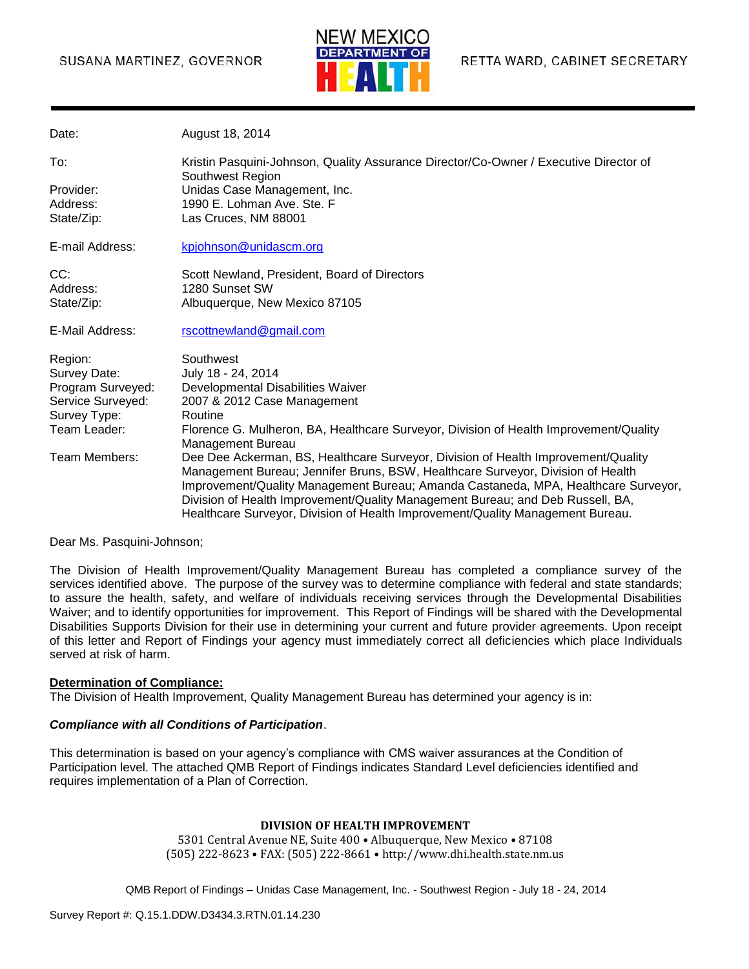#### SUSANA MARTINEZ, GOVERNOR



| Date:             | August 18, 2014                                                                                                                                                                                                                                                                                                                                                                                                                |
|-------------------|--------------------------------------------------------------------------------------------------------------------------------------------------------------------------------------------------------------------------------------------------------------------------------------------------------------------------------------------------------------------------------------------------------------------------------|
| To:               | Kristin Pasquini-Johnson, Quality Assurance Director/Co-Owner / Executive Director of<br>Southwest Region                                                                                                                                                                                                                                                                                                                      |
| Provider:         | Unidas Case Management, Inc.                                                                                                                                                                                                                                                                                                                                                                                                   |
| Address:          | 1990 E. Lohman Ave. Ste. F                                                                                                                                                                                                                                                                                                                                                                                                     |
| State/Zip:        | Las Cruces, NM 88001                                                                                                                                                                                                                                                                                                                                                                                                           |
| E-mail Address:   | kpjohnson@unidascm.org                                                                                                                                                                                                                                                                                                                                                                                                         |
| CC:               | Scott Newland, President, Board of Directors                                                                                                                                                                                                                                                                                                                                                                                   |
| Address:          | 1280 Sunset SW                                                                                                                                                                                                                                                                                                                                                                                                                 |
| State/Zip:        | Albuquerque, New Mexico 87105                                                                                                                                                                                                                                                                                                                                                                                                  |
| E-Mail Address:   | rscottnewland@gmail.com                                                                                                                                                                                                                                                                                                                                                                                                        |
| Region:           | Southwest                                                                                                                                                                                                                                                                                                                                                                                                                      |
| Survey Date:      | July 18 - 24, 2014                                                                                                                                                                                                                                                                                                                                                                                                             |
| Program Surveyed: | Developmental Disabilities Waiver                                                                                                                                                                                                                                                                                                                                                                                              |
| Service Surveyed: | 2007 & 2012 Case Management                                                                                                                                                                                                                                                                                                                                                                                                    |
| Survey Type:      | Routine                                                                                                                                                                                                                                                                                                                                                                                                                        |
| Team Leader:      | Florence G. Mulheron, BA, Healthcare Surveyor, Division of Health Improvement/Quality<br>Management Bureau                                                                                                                                                                                                                                                                                                                     |
| Team Members:     | Dee Dee Ackerman, BS, Healthcare Surveyor, Division of Health Improvement/Quality<br>Management Bureau; Jennifer Bruns, BSW, Healthcare Surveyor, Division of Health<br>Improvement/Quality Management Bureau; Amanda Castaneda, MPA, Healthcare Surveyor,<br>Division of Health Improvement/Quality Management Bureau; and Deb Russell, BA,<br>Healthcare Surveyor, Division of Health Improvement/Quality Management Bureau. |

#### Dear Ms. Pasquini-Johnson;

The Division of Health Improvement/Quality Management Bureau has completed a compliance survey of the services identified above. The purpose of the survey was to determine compliance with federal and state standards; to assure the health, safety, and welfare of individuals receiving services through the Developmental Disabilities Waiver; and to identify opportunities for improvement. This Report of Findings will be shared with the Developmental Disabilities Supports Division for their use in determining your current and future provider agreements. Upon receipt of this letter and Report of Findings your agency must immediately correct all deficiencies which place Individuals served at risk of harm.

#### **Determination of Compliance:**

The Division of Health Improvement, Quality Management Bureau has determined your agency is in:

#### *Compliance with all Conditions of Participation*.

This determination is based on your agency's compliance with CMS waiver assurances at the Condition of Participation level. The attached QMB Report of Findings indicates Standard Level deficiencies identified and requires implementation of a Plan of Correction.

#### **DIVISION OF HEALTH IMPROVEMENT**

5301 Central Avenue NE, Suite 400 • Albuquerque, New Mexico • 87108 (505) 222-8623 • FAX: (505) 222-8661 • http://www.dhi.health.state.nm.us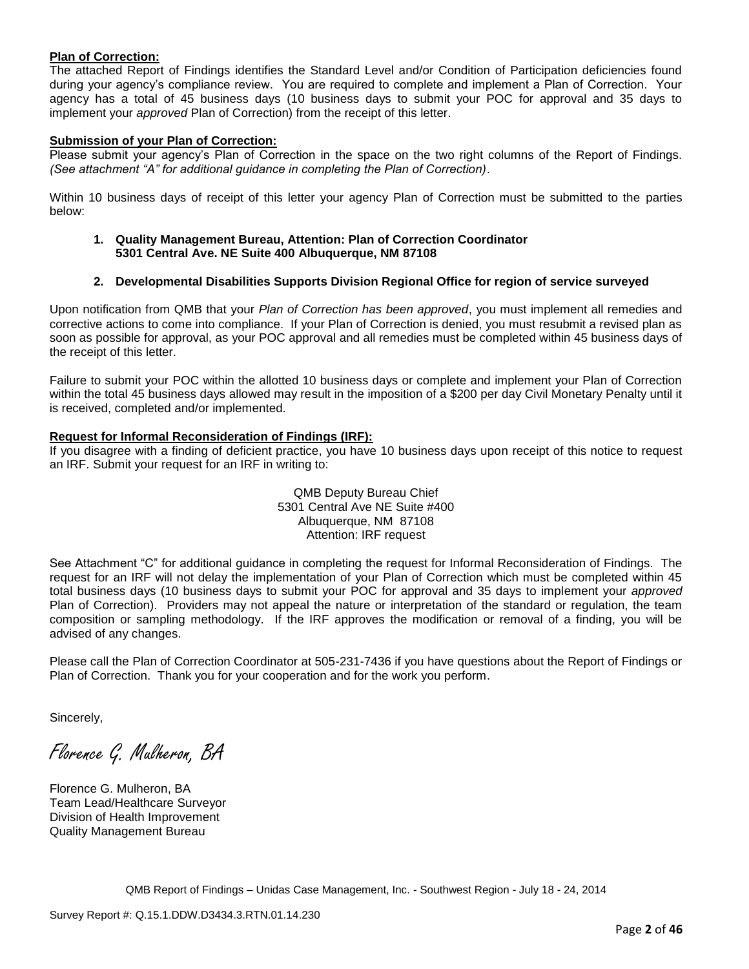#### **Plan of Correction:**

The attached Report of Findings identifies the Standard Level and/or Condition of Participation deficiencies found during your agency's compliance review. You are required to complete and implement a Plan of Correction. Your agency has a total of 45 business days (10 business days to submit your POC for approval and 35 days to implement your *approved* Plan of Correction) from the receipt of this letter.

#### **Submission of your Plan of Correction:**

Please submit your agency's Plan of Correction in the space on the two right columns of the Report of Findings. *(See attachment "A" for additional guidance in completing the Plan of Correction)*.

Within 10 business days of receipt of this letter your agency Plan of Correction must be submitted to the parties below:

**1. Quality Management Bureau, Attention: Plan of Correction Coordinator 5301 Central Ave. NE Suite 400 Albuquerque, NM 87108**

#### **2. Developmental Disabilities Supports Division Regional Office for region of service surveyed**

Upon notification from QMB that your *Plan of Correction has been approved*, you must implement all remedies and corrective actions to come into compliance. If your Plan of Correction is denied, you must resubmit a revised plan as soon as possible for approval, as your POC approval and all remedies must be completed within 45 business days of the receipt of this letter.

Failure to submit your POC within the allotted 10 business days or complete and implement your Plan of Correction within the total 45 business days allowed may result in the imposition of a \$200 per day Civil Monetary Penalty until it is received, completed and/or implemented.

#### **Request for Informal Reconsideration of Findings (IRF):**

If you disagree with a finding of deficient practice, you have 10 business days upon receipt of this notice to request an IRF. Submit your request for an IRF in writing to:

> QMB Deputy Bureau Chief 5301 Central Ave NE Suite #400 Albuquerque, NM 87108 Attention: IRF request

See Attachment "C" for additional guidance in completing the request for Informal Reconsideration of Findings. The request for an IRF will not delay the implementation of your Plan of Correction which must be completed within 45 total business days (10 business days to submit your POC for approval and 35 days to implement your *approved* Plan of Correction). Providers may not appeal the nature or interpretation of the standard or regulation, the team composition or sampling methodology. If the IRF approves the modification or removal of a finding, you will be advised of any changes.

Please call the Plan of Correction Coordinator at 505-231-7436 if you have questions about the Report of Findings or Plan of Correction. Thank you for your cooperation and for the work you perform.

Sincerely,

Florence G. Mulheron, BA

Florence G. Mulheron, BA Team Lead/Healthcare Surveyor Division of Health Improvement Quality Management Bureau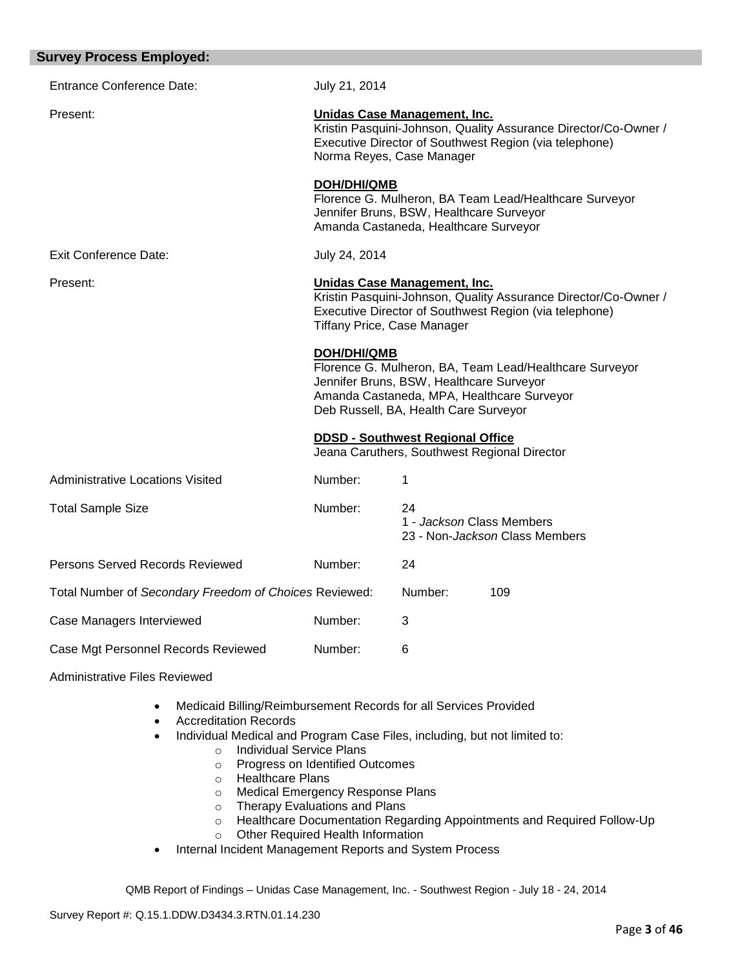| <b>Survey Process Employed:</b>                        |                    |                                                                                                                                                                                            |
|--------------------------------------------------------|--------------------|--------------------------------------------------------------------------------------------------------------------------------------------------------------------------------------------|
| <b>Entrance Conference Date:</b>                       | July 21, 2014      |                                                                                                                                                                                            |
| Present:                                               |                    | Unidas Case Management, Inc.<br>Kristin Pasquini-Johnson, Quality Assurance Director/Co-Owner /<br>Executive Director of Southwest Region (via telephone)<br>Norma Reyes, Case Manager     |
|                                                        | DOH/DHI/QMB        | Florence G. Mulheron, BA Team Lead/Healthcare Surveyor<br>Jennifer Bruns, BSW, Healthcare Surveyor<br>Amanda Castaneda, Healthcare Surveyor                                                |
| <b>Exit Conference Date:</b>                           | July 24, 2014      |                                                                                                                                                                                            |
| Present:                                               |                    | Unidas Case Management, Inc.<br>Kristin Pasquini-Johnson, Quality Assurance Director/Co-Owner /<br>Executive Director of Southwest Region (via telephone)<br>Tiffany Price, Case Manager   |
|                                                        | <b>DOH/DHI/QMB</b> | Florence G. Mulheron, BA, Team Lead/Healthcare Surveyor<br>Jennifer Bruns, BSW, Healthcare Surveyor<br>Amanda Castaneda, MPA, Healthcare Surveyor<br>Deb Russell, BA, Health Care Surveyor |
|                                                        |                    | <b>DDSD - Southwest Regional Office</b><br>Jeana Caruthers, Southwest Regional Director                                                                                                    |
| <b>Administrative Locations Visited</b>                | Number:            | 1                                                                                                                                                                                          |
| <b>Total Sample Size</b>                               | Number:            | 24<br>1 - Jackson Class Members<br>23 - Non-Jackson Class Members                                                                                                                          |
| Persons Served Records Reviewed                        | Number:            | 24                                                                                                                                                                                         |
| Total Number of Secondary Freedom of Choices Reviewed: |                    | Number:<br>109                                                                                                                                                                             |
| Case Managers Interviewed                              | Number:            | 3                                                                                                                                                                                          |
| Case Mgt Personnel Records Reviewed                    | Number:            | 6                                                                                                                                                                                          |
| <b>Administrative Files Reviewed</b>                   |                    |                                                                                                                                                                                            |

- Medicaid Billing/Reimbursement Records for all Services Provided
- Accreditation Records
- Individual Medical and Program Case Files, including, but not limited to:
	- o Individual Service Plans
		- o Progress on Identified Outcomes
		- o Healthcare Plans
		- o Medical Emergency Response Plans
		- o Therapy Evaluations and Plans
		- o Healthcare Documentation Regarding Appointments and Required Follow-Up
		- o Other Required Health Information
- Internal Incident Management Reports and System Process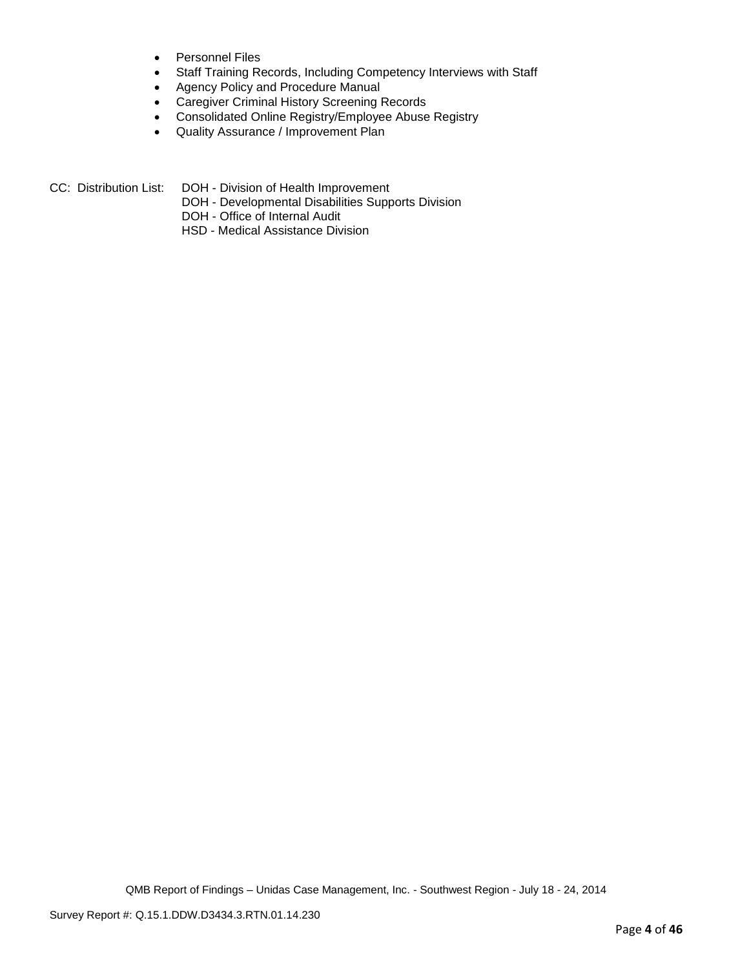- Personnel Files
- Staff Training Records, Including Competency Interviews with Staff
- Agency Policy and Procedure Manual
- Caregiver Criminal History Screening Records
- Consolidated Online Registry/Employee Abuse Registry
- Quality Assurance / Improvement Plan
- CC: Distribution List: DOH Division of Health Improvement
	- DOH Developmental Disabilities Supports Division
	- DOH Office of Internal Audit
	- HSD Medical Assistance Division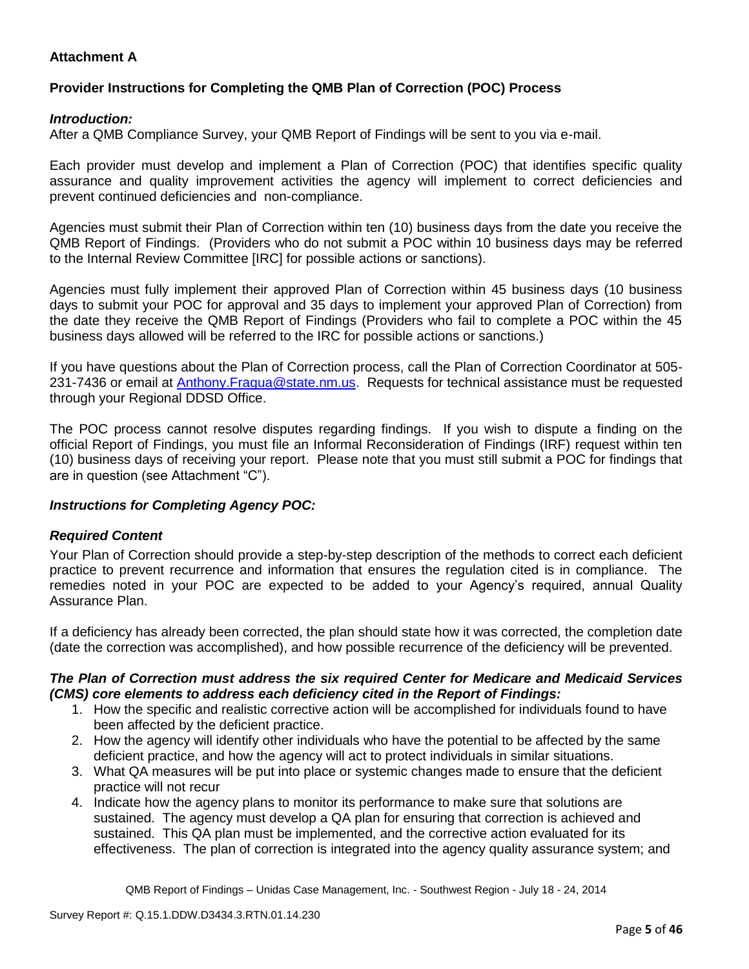## **Attachment A**

## **Provider Instructions for Completing the QMB Plan of Correction (POC) Process**

#### *Introduction:*

After a QMB Compliance Survey, your QMB Report of Findings will be sent to you via e-mail.

Each provider must develop and implement a Plan of Correction (POC) that identifies specific quality assurance and quality improvement activities the agency will implement to correct deficiencies and prevent continued deficiencies and non-compliance.

Agencies must submit their Plan of Correction within ten (10) business days from the date you receive the QMB Report of Findings. (Providers who do not submit a POC within 10 business days may be referred to the Internal Review Committee [IRC] for possible actions or sanctions).

Agencies must fully implement their approved Plan of Correction within 45 business days (10 business days to submit your POC for approval and 35 days to implement your approved Plan of Correction) from the date they receive the QMB Report of Findings (Providers who fail to complete a POC within the 45 business days allowed will be referred to the IRC for possible actions or sanctions.)

If you have questions about the Plan of Correction process, call the Plan of Correction Coordinator at 505- 231-7436 or email at **Anthony.Fragua@state.nm.us.** Requests for technical assistance must be requested through your Regional DDSD Office.

The POC process cannot resolve disputes regarding findings. If you wish to dispute a finding on the official Report of Findings, you must file an Informal Reconsideration of Findings (IRF) request within ten (10) business days of receiving your report. Please note that you must still submit a POC for findings that are in question (see Attachment "C").

## *Instructions for Completing Agency POC:*

#### *Required Content*

Your Plan of Correction should provide a step-by-step description of the methods to correct each deficient practice to prevent recurrence and information that ensures the regulation cited is in compliance. The remedies noted in your POC are expected to be added to your Agency's required, annual Quality Assurance Plan.

If a deficiency has already been corrected, the plan should state how it was corrected, the completion date (date the correction was accomplished), and how possible recurrence of the deficiency will be prevented.

#### *The Plan of Correction must address the six required Center for Medicare and Medicaid Services (CMS) core elements to address each deficiency cited in the Report of Findings:*

- 1. How the specific and realistic corrective action will be accomplished for individuals found to have been affected by the deficient practice.
- 2. How the agency will identify other individuals who have the potential to be affected by the same deficient practice, and how the agency will act to protect individuals in similar situations.
- 3. What QA measures will be put into place or systemic changes made to ensure that the deficient practice will not recur
- 4. Indicate how the agency plans to monitor its performance to make sure that solutions are sustained. The agency must develop a QA plan for ensuring that correction is achieved and sustained. This QA plan must be implemented, and the corrective action evaluated for its effectiveness. The plan of correction is integrated into the agency quality assurance system; and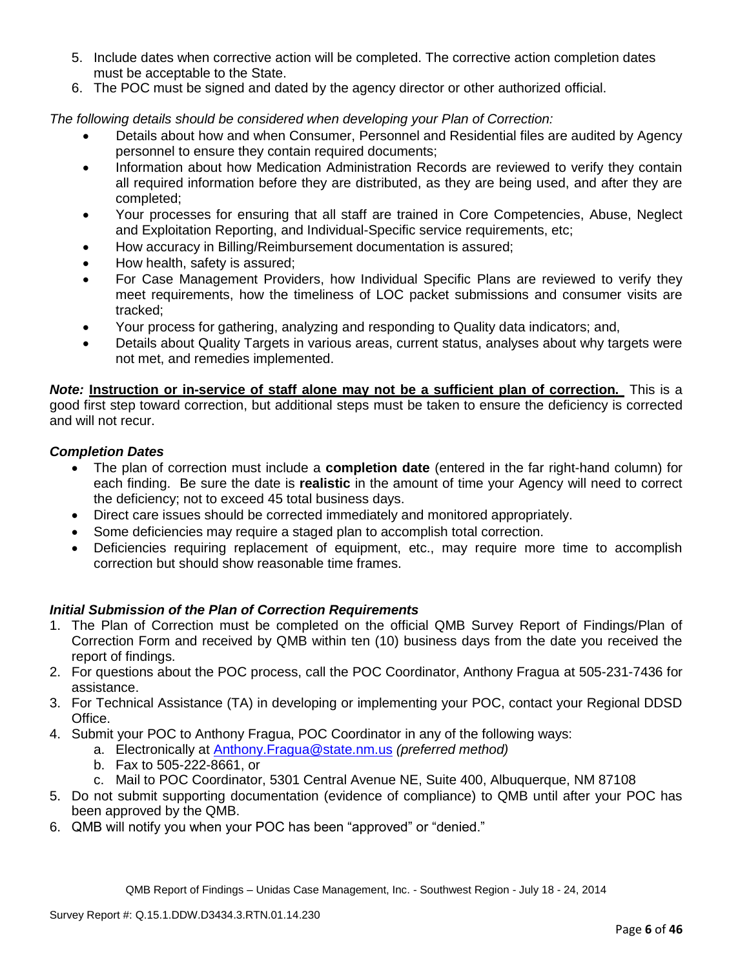- 5. Include dates when corrective action will be completed. The corrective action completion dates must be acceptable to the State.
- 6. The POC must be signed and dated by the agency director or other authorized official.

*The following details should be considered when developing your Plan of Correction:*

- Details about how and when Consumer, Personnel and Residential files are audited by Agency personnel to ensure they contain required documents;
- Information about how Medication Administration Records are reviewed to verify they contain all required information before they are distributed, as they are being used, and after they are completed;
- Your processes for ensuring that all staff are trained in Core Competencies, Abuse, Neglect and Exploitation Reporting, and Individual-Specific service requirements, etc;
- How accuracy in Billing/Reimbursement documentation is assured;
- How health, safety is assured;
- For Case Management Providers, how Individual Specific Plans are reviewed to verify they meet requirements, how the timeliness of LOC packet submissions and consumer visits are tracked;
- Your process for gathering, analyzing and responding to Quality data indicators; and,
- Details about Quality Targets in various areas, current status, analyses about why targets were not met, and remedies implemented.

*Note:* **Instruction or in-service of staff alone may not be a sufficient plan of correction.** This is a good first step toward correction, but additional steps must be taken to ensure the deficiency is corrected and will not recur.

## *Completion Dates*

- The plan of correction must include a **completion date** (entered in the far right-hand column) for each finding. Be sure the date is **realistic** in the amount of time your Agency will need to correct the deficiency; not to exceed 45 total business days.
- Direct care issues should be corrected immediately and monitored appropriately.
- Some deficiencies may require a staged plan to accomplish total correction.
- Deficiencies requiring replacement of equipment, etc., may require more time to accomplish correction but should show reasonable time frames.

## *Initial Submission of the Plan of Correction Requirements*

- 1. The Plan of Correction must be completed on the official QMB Survey Report of Findings/Plan of Correction Form and received by QMB within ten (10) business days from the date you received the report of findings.
- 2. For questions about the POC process, call the POC Coordinator, Anthony Fragua at 505-231-7436 for assistance.
- 3. For Technical Assistance (TA) in developing or implementing your POC, contact your Regional DDSD Office.
- 4. Submit your POC to Anthony Fragua, POC Coordinator in any of the following ways:
	- a. Electronically at Anthony.Fragua@state.nm.us *(preferred method)*
	- b. Fax to 505-222-8661, or
	- c. Mail to POC Coordinator, 5301 Central Avenue NE, Suite 400, Albuquerque, NM 87108
- 5. Do not submit supporting documentation (evidence of compliance) to QMB until after your POC has been approved by the QMB.
- 6. QMB will notify you when your POC has been "approved" or "denied."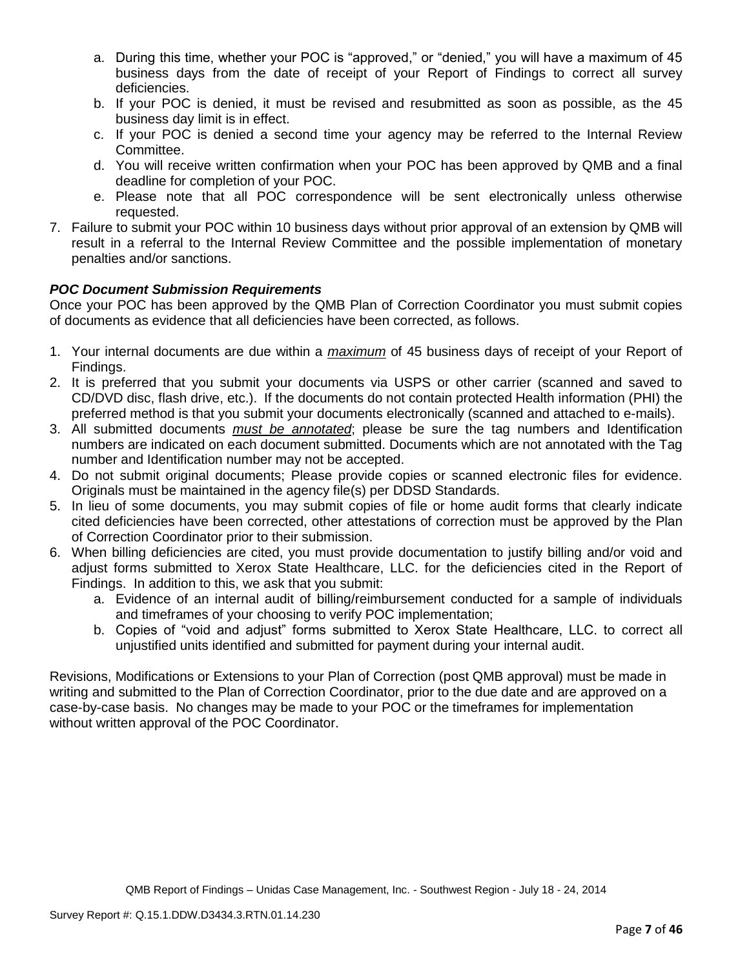- a. During this time, whether your POC is "approved," or "denied," you will have a maximum of 45 business days from the date of receipt of your Report of Findings to correct all survey deficiencies.
- b. If your POC is denied, it must be revised and resubmitted as soon as possible, as the 45 business day limit is in effect.
- c. If your POC is denied a second time your agency may be referred to the Internal Review Committee.
- d. You will receive written confirmation when your POC has been approved by QMB and a final deadline for completion of your POC.
- e. Please note that all POC correspondence will be sent electronically unless otherwise requested.
- 7. Failure to submit your POC within 10 business days without prior approval of an extension by QMB will result in a referral to the Internal Review Committee and the possible implementation of monetary penalties and/or sanctions.

## *POC Document Submission Requirements*

Once your POC has been approved by the QMB Plan of Correction Coordinator you must submit copies of documents as evidence that all deficiencies have been corrected, as follows.

- 1. Your internal documents are due within a *maximum* of 45 business days of receipt of your Report of Findings.
- 2. It is preferred that you submit your documents via USPS or other carrier (scanned and saved to CD/DVD disc, flash drive, etc.). If the documents do not contain protected Health information (PHI) the preferred method is that you submit your documents electronically (scanned and attached to e-mails).
- 3. All submitted documents *must be annotated*; please be sure the tag numbers and Identification numbers are indicated on each document submitted. Documents which are not annotated with the Tag number and Identification number may not be accepted.
- 4. Do not submit original documents; Please provide copies or scanned electronic files for evidence. Originals must be maintained in the agency file(s) per DDSD Standards.
- 5. In lieu of some documents, you may submit copies of file or home audit forms that clearly indicate cited deficiencies have been corrected, other attestations of correction must be approved by the Plan of Correction Coordinator prior to their submission.
- 6. When billing deficiencies are cited, you must provide documentation to justify billing and/or void and adjust forms submitted to Xerox State Healthcare, LLC. for the deficiencies cited in the Report of Findings. In addition to this, we ask that you submit:
	- a. Evidence of an internal audit of billing/reimbursement conducted for a sample of individuals and timeframes of your choosing to verify POC implementation;
	- b. Copies of "void and adjust" forms submitted to Xerox State Healthcare, LLC. to correct all unjustified units identified and submitted for payment during your internal audit.

Revisions, Modifications or Extensions to your Plan of Correction (post QMB approval) must be made in writing and submitted to the Plan of Correction Coordinator, prior to the due date and are approved on a case-by-case basis. No changes may be made to your POC or the timeframes for implementation without written approval of the POC Coordinator.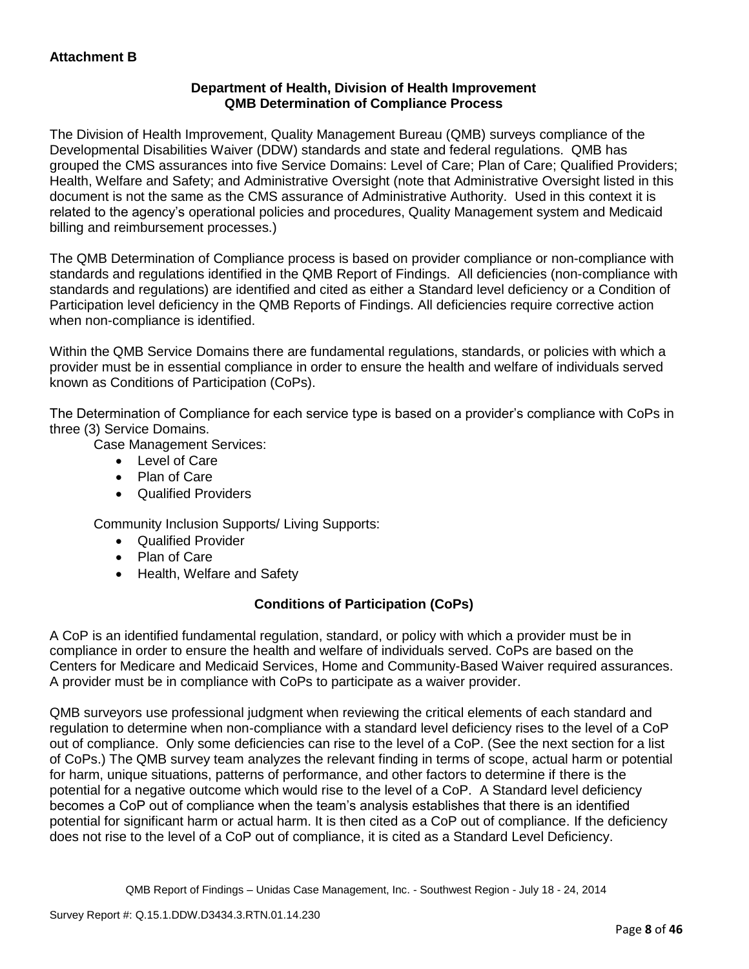## **Department of Health, Division of Health Improvement QMB Determination of Compliance Process**

The Division of Health Improvement, Quality Management Bureau (QMB) surveys compliance of the Developmental Disabilities Waiver (DDW) standards and state and federal regulations. QMB has grouped the CMS assurances into five Service Domains: Level of Care; Plan of Care; Qualified Providers; Health, Welfare and Safety; and Administrative Oversight (note that Administrative Oversight listed in this document is not the same as the CMS assurance of Administrative Authority. Used in this context it is related to the agency's operational policies and procedures, Quality Management system and Medicaid billing and reimbursement processes.)

The QMB Determination of Compliance process is based on provider compliance or non-compliance with standards and regulations identified in the QMB Report of Findings. All deficiencies (non-compliance with standards and regulations) are identified and cited as either a Standard level deficiency or a Condition of Participation level deficiency in the QMB Reports of Findings. All deficiencies require corrective action when non-compliance is identified.

Within the QMB Service Domains there are fundamental regulations, standards, or policies with which a provider must be in essential compliance in order to ensure the health and welfare of individuals served known as Conditions of Participation (CoPs).

The Determination of Compliance for each service type is based on a provider's compliance with CoPs in three (3) Service Domains.

Case Management Services:

- Level of Care
- Plan of Care
- Qualified Providers

Community Inclusion Supports/ Living Supports:

- Qualified Provider
- Plan of Care
- Health, Welfare and Safety

# **Conditions of Participation (CoPs)**

A CoP is an identified fundamental regulation, standard, or policy with which a provider must be in compliance in order to ensure the health and welfare of individuals served. CoPs are based on the Centers for Medicare and Medicaid Services, Home and Community-Based Waiver required assurances. A provider must be in compliance with CoPs to participate as a waiver provider.

QMB surveyors use professional judgment when reviewing the critical elements of each standard and regulation to determine when non-compliance with a standard level deficiency rises to the level of a CoP out of compliance. Only some deficiencies can rise to the level of a CoP. (See the next section for a list of CoPs.) The QMB survey team analyzes the relevant finding in terms of scope, actual harm or potential for harm, unique situations, patterns of performance, and other factors to determine if there is the potential for a negative outcome which would rise to the level of a CoP. A Standard level deficiency becomes a CoP out of compliance when the team's analysis establishes that there is an identified potential for significant harm or actual harm. It is then cited as a CoP out of compliance. If the deficiency does not rise to the level of a CoP out of compliance, it is cited as a Standard Level Deficiency.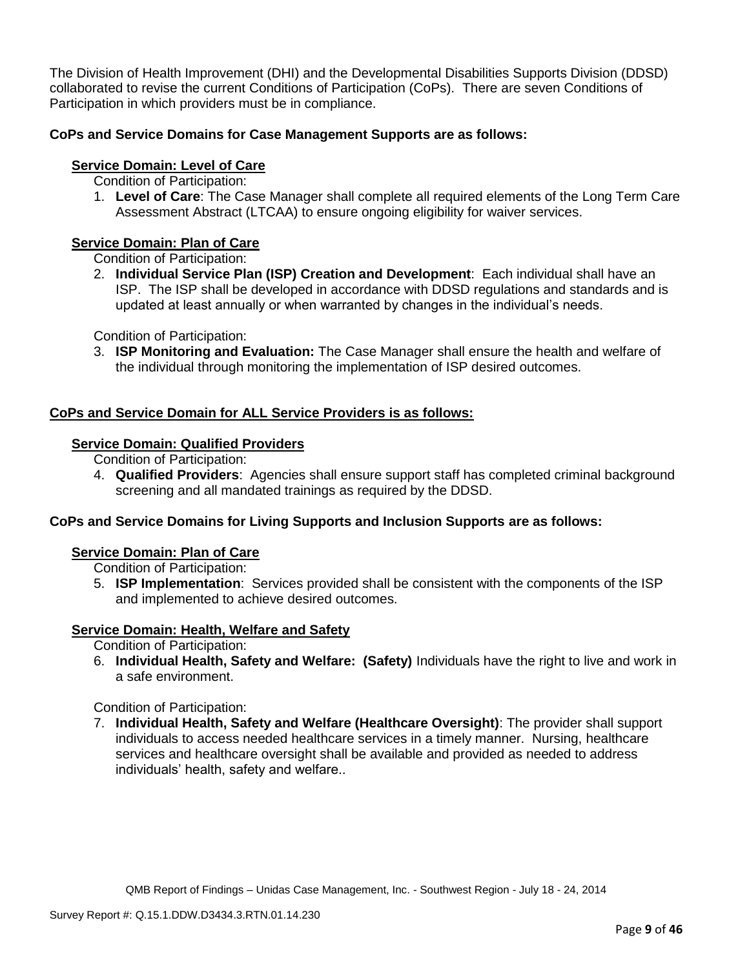The Division of Health Improvement (DHI) and the Developmental Disabilities Supports Division (DDSD) collaborated to revise the current Conditions of Participation (CoPs). There are seven Conditions of Participation in which providers must be in compliance.

## **CoPs and Service Domains for Case Management Supports are as follows:**

## **Service Domain: Level of Care**

- Condition of Participation:
- 1. **Level of Care**: The Case Manager shall complete all required elements of the Long Term Care Assessment Abstract (LTCAA) to ensure ongoing eligibility for waiver services.

## **Service Domain: Plan of Care**

Condition of Participation:

2. **Individual Service Plan (ISP) Creation and Development**: Each individual shall have an ISP. The ISP shall be developed in accordance with DDSD regulations and standards and is updated at least annually or when warranted by changes in the individual's needs.

Condition of Participation:

3. **ISP Monitoring and Evaluation:** The Case Manager shall ensure the health and welfare of the individual through monitoring the implementation of ISP desired outcomes.

## **CoPs and Service Domain for ALL Service Providers is as follows:**

## **Service Domain: Qualified Providers**

- Condition of Participation:
- 4. **Qualified Providers**: Agencies shall ensure support staff has completed criminal background screening and all mandated trainings as required by the DDSD.

## **CoPs and Service Domains for Living Supports and Inclusion Supports are as follows:**

#### **Service Domain: Plan of Care**

Condition of Participation:

5. **ISP Implementation**: Services provided shall be consistent with the components of the ISP and implemented to achieve desired outcomes.

## **Service Domain: Health, Welfare and Safety**

Condition of Participation:

6. **Individual Health, Safety and Welfare: (Safety)** Individuals have the right to live and work in a safe environment.

Condition of Participation:

7. **Individual Health, Safety and Welfare (Healthcare Oversight)**: The provider shall support individuals to access needed healthcare services in a timely manner. Nursing, healthcare services and healthcare oversight shall be available and provided as needed to address individuals' health, safety and welfare..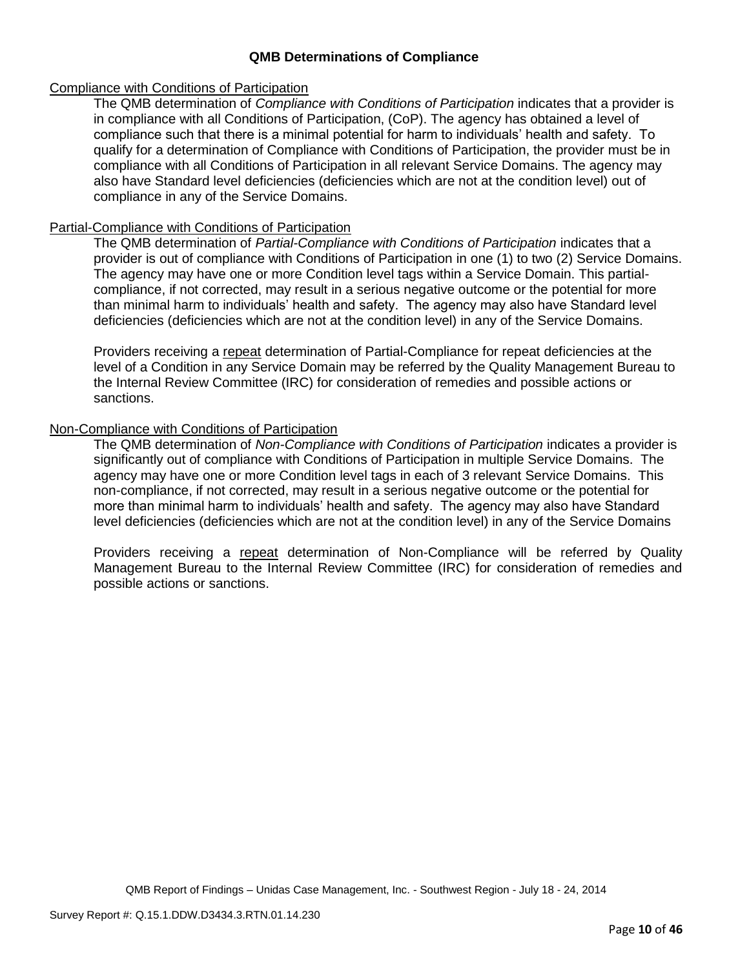#### **QMB Determinations of Compliance**

#### Compliance with Conditions of Participation

The QMB determination of *Compliance with Conditions of Participation* indicates that a provider is in compliance with all Conditions of Participation, (CoP). The agency has obtained a level of compliance such that there is a minimal potential for harm to individuals' health and safety. To qualify for a determination of Compliance with Conditions of Participation, the provider must be in compliance with all Conditions of Participation in all relevant Service Domains. The agency may also have Standard level deficiencies (deficiencies which are not at the condition level) out of compliance in any of the Service Domains.

#### Partial-Compliance with Conditions of Participation

The QMB determination of *Partial-Compliance with Conditions of Participation* indicates that a provider is out of compliance with Conditions of Participation in one (1) to two (2) Service Domains. The agency may have one or more Condition level tags within a Service Domain. This partialcompliance, if not corrected, may result in a serious negative outcome or the potential for more than minimal harm to individuals' health and safety. The agency may also have Standard level deficiencies (deficiencies which are not at the condition level) in any of the Service Domains.

Providers receiving a repeat determination of Partial-Compliance for repeat deficiencies at the level of a Condition in any Service Domain may be referred by the Quality Management Bureau to the Internal Review Committee (IRC) for consideration of remedies and possible actions or sanctions.

#### Non-Compliance with Conditions of Participation

The QMB determination of *Non-Compliance with Conditions of Participation* indicates a provider is significantly out of compliance with Conditions of Participation in multiple Service Domains. The agency may have one or more Condition level tags in each of 3 relevant Service Domains. This non-compliance, if not corrected, may result in a serious negative outcome or the potential for more than minimal harm to individuals' health and safety. The agency may also have Standard level deficiencies (deficiencies which are not at the condition level) in any of the Service Domains

Providers receiving a repeat determination of Non-Compliance will be referred by Quality Management Bureau to the Internal Review Committee (IRC) for consideration of remedies and possible actions or sanctions.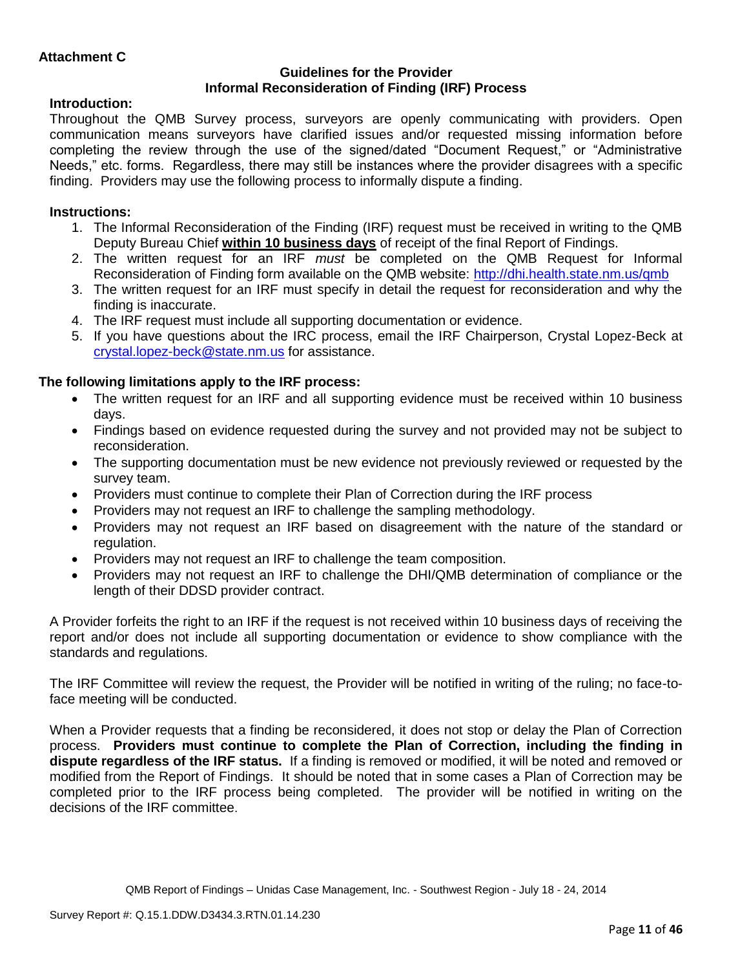#### **Guidelines for the Provider Informal Reconsideration of Finding (IRF) Process**

## **Introduction:**

Throughout the QMB Survey process, surveyors are openly communicating with providers. Open communication means surveyors have clarified issues and/or requested missing information before completing the review through the use of the signed/dated "Document Request," or "Administrative Needs," etc. forms. Regardless, there may still be instances where the provider disagrees with a specific finding. Providers may use the following process to informally dispute a finding.

## **Instructions:**

- 1. The Informal Reconsideration of the Finding (IRF) request must be received in writing to the QMB Deputy Bureau Chief **within 10 business days** of receipt of the final Report of Findings.
- 2. The written request for an IRF *must* be completed on the QMB Request for Informal Reconsideration of Finding form available on the QMB website:<http://dhi.health.state.nm.us/qmb>
- 3. The written request for an IRF must specify in detail the request for reconsideration and why the finding is inaccurate.
- 4. The IRF request must include all supporting documentation or evidence.
- 5. If you have questions about the IRC process, email the IRF Chairperson, Crystal Lopez-Beck at [crystal.lopez-beck@state.nm.us](mailto:crystal.lopez-beck@state.nm.us) for assistance.

## **The following limitations apply to the IRF process:**

- The written request for an IRF and all supporting evidence must be received within 10 business days.
- Findings based on evidence requested during the survey and not provided may not be subject to reconsideration.
- The supporting documentation must be new evidence not previously reviewed or requested by the survey team.
- Providers must continue to complete their Plan of Correction during the IRF process
- Providers may not request an IRF to challenge the sampling methodology.
- Providers may not request an IRF based on disagreement with the nature of the standard or regulation.
- Providers may not request an IRF to challenge the team composition.
- Providers may not request an IRF to challenge the DHI/QMB determination of compliance or the length of their DDSD provider contract.

A Provider forfeits the right to an IRF if the request is not received within 10 business days of receiving the report and/or does not include all supporting documentation or evidence to show compliance with the standards and regulations.

The IRF Committee will review the request, the Provider will be notified in writing of the ruling; no face-toface meeting will be conducted.

When a Provider requests that a finding be reconsidered, it does not stop or delay the Plan of Correction process. **Providers must continue to complete the Plan of Correction, including the finding in dispute regardless of the IRF status.** If a finding is removed or modified, it will be noted and removed or modified from the Report of Findings. It should be noted that in some cases a Plan of Correction may be completed prior to the IRF process being completed. The provider will be notified in writing on the decisions of the IRF committee.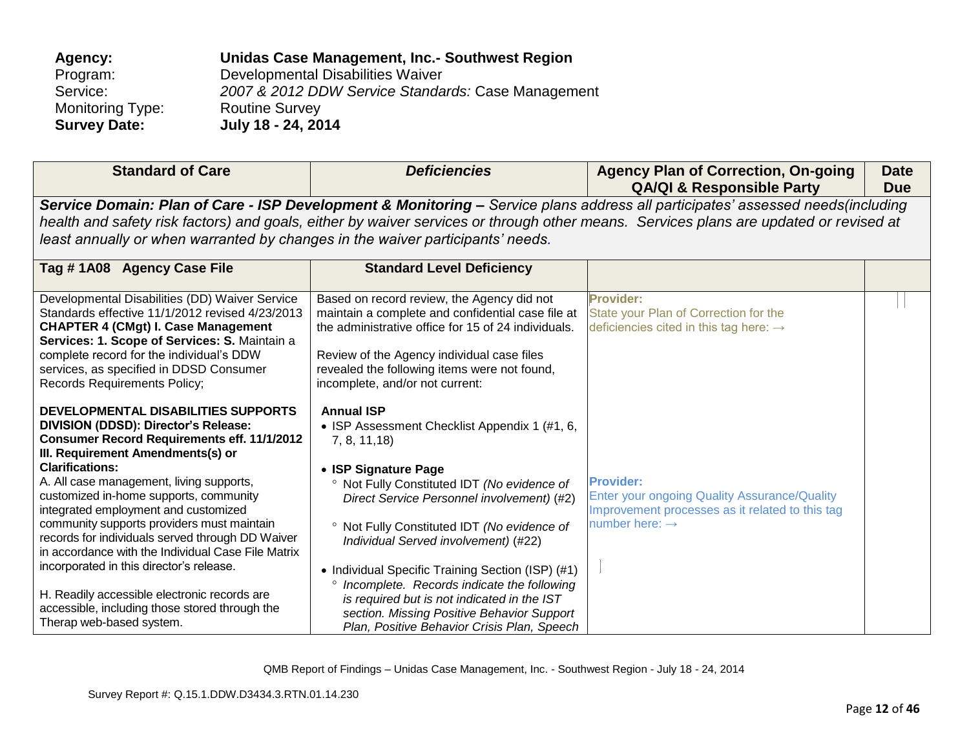| Agency:                 | Unidas Case Management, Inc.- Southwest Region     |
|-------------------------|----------------------------------------------------|
| Program:                | Developmental Disabilities Waiver                  |
| Service:                | 2007 & 2012 DDW Service Standards: Case Management |
| <b>Monitoring Type:</b> | <b>Routine Survey</b>                              |
| <b>Survey Date:</b>     | July 18 - 24, 2014                                 |

| <b>Standard of Care</b>                                                                                | <b>Deficiencies</b>                                                                                                            | <b>Agency Plan of Correction, On-going</b><br><b>QA/QI &amp; Responsible Party</b>                                                    | <b>Date</b><br><b>Due</b> |  |  |  |
|--------------------------------------------------------------------------------------------------------|--------------------------------------------------------------------------------------------------------------------------------|---------------------------------------------------------------------------------------------------------------------------------------|---------------------------|--|--|--|
|                                                                                                        | Service Domain: Plan of Care - ISP Development & Monitoring - Service plans address all participates' assessed needs(including |                                                                                                                                       |                           |  |  |  |
|                                                                                                        |                                                                                                                                | health and safety risk factors) and goals, either by waiver services or through other means. Services plans are updated or revised at |                           |  |  |  |
| least annually or when warranted by changes in the waiver participants' needs.                         |                                                                                                                                |                                                                                                                                       |                           |  |  |  |
| Tag #1A08 Agency Case File                                                                             | <b>Standard Level Deficiency</b>                                                                                               |                                                                                                                                       |                           |  |  |  |
|                                                                                                        |                                                                                                                                |                                                                                                                                       |                           |  |  |  |
| Developmental Disabilities (DD) Waiver Service                                                         | Based on record review, the Agency did not                                                                                     | <b>Provider:</b>                                                                                                                      |                           |  |  |  |
| Standards effective 11/1/2012 revised 4/23/2013                                                        | maintain a complete and confidential case file at                                                                              | State your Plan of Correction for the                                                                                                 |                           |  |  |  |
| <b>CHAPTER 4 (CMgt) I. Case Management</b>                                                             | the administrative office for 15 of 24 individuals.                                                                            | deficiencies cited in this tag here: $\rightarrow$                                                                                    |                           |  |  |  |
| Services: 1. Scope of Services: S. Maintain a<br>complete record for the individual's DDW              | Review of the Agency individual case files                                                                                     |                                                                                                                                       |                           |  |  |  |
| services, as specified in DDSD Consumer                                                                | revealed the following items were not found,                                                                                   |                                                                                                                                       |                           |  |  |  |
| <b>Records Requirements Policy;</b>                                                                    | incomplete, and/or not current:                                                                                                |                                                                                                                                       |                           |  |  |  |
|                                                                                                        |                                                                                                                                |                                                                                                                                       |                           |  |  |  |
| <b>DEVELOPMENTAL DISABILITIES SUPPORTS</b>                                                             | <b>Annual ISP</b>                                                                                                              |                                                                                                                                       |                           |  |  |  |
| DIVISION (DDSD): Director's Release:                                                                   | • ISP Assessment Checklist Appendix 1 (#1, 6,                                                                                  |                                                                                                                                       |                           |  |  |  |
| <b>Consumer Record Requirements eff. 11/1/2012</b><br>III. Requirement Amendments(s) or                | 7, 8, 11, 18)                                                                                                                  |                                                                                                                                       |                           |  |  |  |
| <b>Clarifications:</b>                                                                                 | • ISP Signature Page                                                                                                           |                                                                                                                                       |                           |  |  |  |
| A. All case management, living supports,                                                               | ° Not Fully Constituted IDT (No evidence of                                                                                    | <b>Provider:</b>                                                                                                                      |                           |  |  |  |
| customized in-home supports, community                                                                 | Direct Service Personnel involvement) (#2)                                                                                     | <b>Enter your ongoing Quality Assurance/Quality</b>                                                                                   |                           |  |  |  |
| integrated employment and customized                                                                   |                                                                                                                                | Improvement processes as it related to this tag                                                                                       |                           |  |  |  |
| community supports providers must maintain                                                             | ° Not Fully Constituted IDT (No evidence of                                                                                    | number here: $\rightarrow$                                                                                                            |                           |  |  |  |
| records for individuals served through DD Waiver<br>in accordance with the Individual Case File Matrix | Individual Served involvement) (#22)                                                                                           |                                                                                                                                       |                           |  |  |  |
| incorporated in this director's release.                                                               |                                                                                                                                |                                                                                                                                       |                           |  |  |  |
|                                                                                                        | • Individual Specific Training Section (ISP) (#1)                                                                              |                                                                                                                                       |                           |  |  |  |
| H. Readily accessible electronic records are                                                           | ° Incomplete. Records indicate the following<br>is required but is not indicated in the IST                                    |                                                                                                                                       |                           |  |  |  |
| accessible, including those stored through the                                                         | section. Missing Positive Behavior Support                                                                                     |                                                                                                                                       |                           |  |  |  |
| Therap web-based system.                                                                               | Plan, Positive Behavior Crisis Plan, Speech                                                                                    |                                                                                                                                       |                           |  |  |  |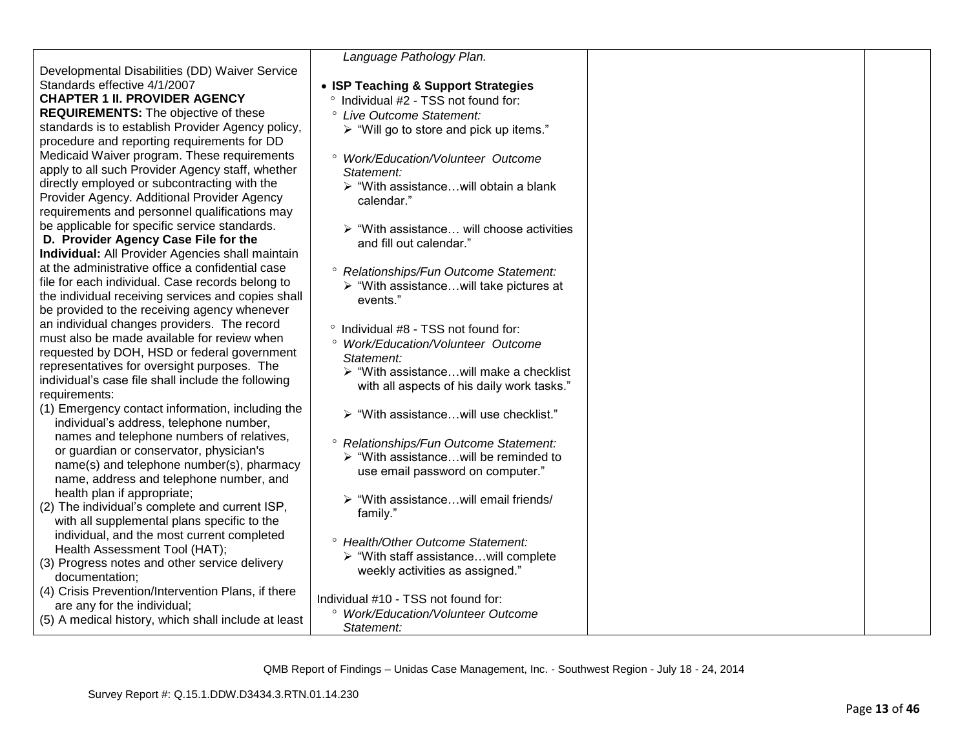|                                                                               | Language Pathology Plan.                                 |  |
|-------------------------------------------------------------------------------|----------------------------------------------------------|--|
| Developmental Disabilities (DD) Waiver Service                                |                                                          |  |
| Standards effective 4/1/2007                                                  | • ISP Teaching & Support Strategies                      |  |
| <b>CHAPTER 1 II. PROVIDER AGENCY</b>                                          | ° Individual #2 - TSS not found for:                     |  |
| <b>REQUIREMENTS:</b> The objective of these                                   | ° Live Outcome Statement:                                |  |
| standards is to establish Provider Agency policy,                             | > "Will go to store and pick up items."                  |  |
| procedure and reporting requirements for DD                                   |                                                          |  |
| Medicaid Waiver program. These requirements                                   | <sup>o</sup> Work/Education/Volunteer Outcome            |  |
| apply to all such Provider Agency staff, whether                              | Statement:                                               |  |
| directly employed or subcontracting with the                                  | $\triangleright$ "With assistancewill obtain a blank     |  |
| Provider Agency. Additional Provider Agency                                   | calendar."                                               |  |
| requirements and personnel qualifications may                                 |                                                          |  |
| be applicable for specific service standards.                                 | $\triangleright$ "With assistance will choose activities |  |
| D. Provider Agency Case File for the                                          | and fill out calendar."                                  |  |
| Individual: All Provider Agencies shall maintain                              |                                                          |  |
| at the administrative office a confidential case                              | <sup>o</sup> Relationships/Fun Outcome Statement:        |  |
| file for each individual. Case records belong to                              | ▶ "With assistancewill take pictures at                  |  |
| the individual receiving services and copies shall                            | events."                                                 |  |
| be provided to the receiving agency whenever                                  |                                                          |  |
| an individual changes providers. The record                                   | ° Individual #8 - TSS not found for:                     |  |
| must also be made available for review when                                   | <sup>o</sup> Work/Education/Volunteer Outcome            |  |
| requested by DOH, HSD or federal government                                   | Statement:                                               |  |
| representatives for oversight purposes. The                                   | $\triangleright$ "With assistancewill make a checklist   |  |
| individual's case file shall include the following                            | with all aspects of his daily work tasks."               |  |
| requirements:                                                                 |                                                          |  |
| (1) Emergency contact information, including the                              | > "With assistancewill use checklist."                   |  |
| individual's address, telephone number,                                       |                                                          |  |
| names and telephone numbers of relatives,                                     | <sup>o</sup> Relationships/Fun Outcome Statement:        |  |
| or guardian or conservator, physician's                                       | $\triangleright$ "With assistancewill be reminded to     |  |
| name(s) and telephone number(s), pharmacy                                     | use email password on computer."                         |  |
| name, address and telephone number, and                                       |                                                          |  |
| health plan if appropriate;<br>(2) The individual's complete and current ISP, | > "With assistancewill email friends/                    |  |
| with all supplemental plans specific to the                                   | family."                                                 |  |
| individual, and the most current completed                                    |                                                          |  |
| Health Assessment Tool (HAT);                                                 | <sup>o</sup> Health/Other Outcome Statement:             |  |
| (3) Progress notes and other service delivery                                 | ▶ "With staff assistancewill complete                    |  |
| documentation;                                                                | weekly activities as assigned."                          |  |
| (4) Crisis Prevention/Intervention Plans, if there                            |                                                          |  |
| are any for the individual;                                                   | Individual #10 - TSS not found for:                      |  |
| (5) A medical history, which shall include at least                           | <sup>o</sup> Work/Education/Volunteer Outcome            |  |
|                                                                               | Statement:                                               |  |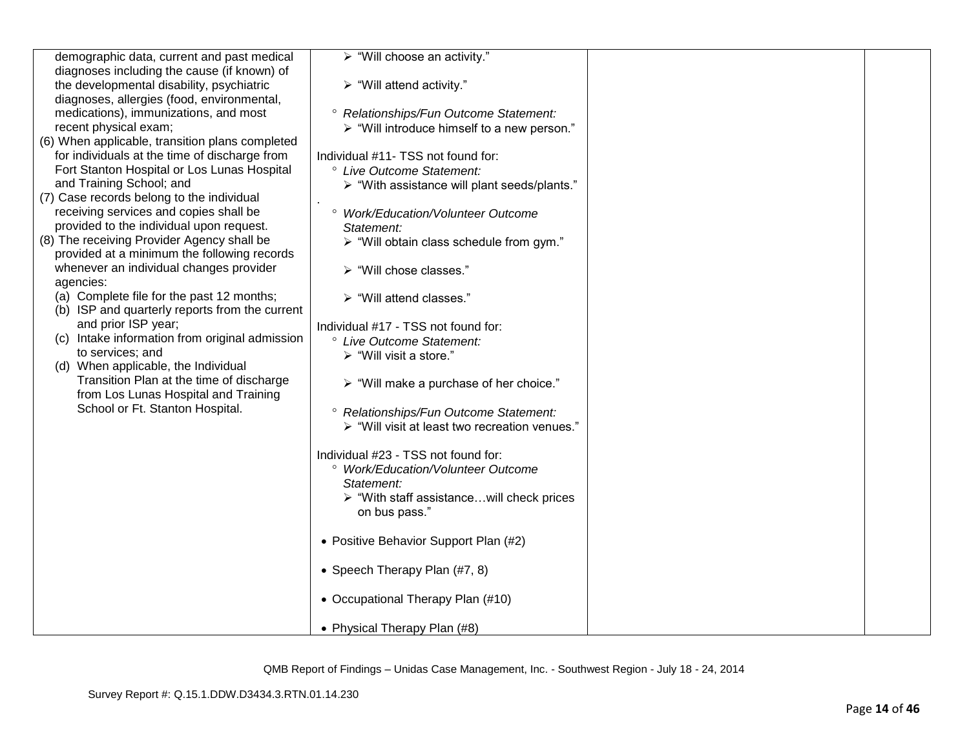| demographic data, current and past medical      | > "Will choose an activity."                                |  |
|-------------------------------------------------|-------------------------------------------------------------|--|
| diagnoses including the cause (if known) of     |                                                             |  |
| the developmental disability, psychiatric       | $\triangleright$ "Will attend activity."                    |  |
| diagnoses, allergies (food, environmental,      |                                                             |  |
| medications), immunizations, and most           | <sup>o</sup> Relationships/Fun Outcome Statement:           |  |
| recent physical exam;                           | $\triangleright$ "Will introduce himself to a new person."  |  |
| (6) When applicable, transition plans completed |                                                             |  |
| for individuals at the time of discharge from   | Individual #11- TSS not found for:                          |  |
| Fort Stanton Hospital or Los Lunas Hospital     | ° Live Outcome Statement:                                   |  |
| and Training School; and                        | $\triangleright$ "With assistance will plant seeds/plants." |  |
| (7) Case records belong to the individual       |                                                             |  |
| receiving services and copies shall be          | <sup>o</sup> Work/Education/Volunteer Outcome               |  |
| provided to the individual upon request.        | Statement:                                                  |  |
| (8) The receiving Provider Agency shall be      | > "Will obtain class schedule from gym."                    |  |
| provided at a minimum the following records     |                                                             |  |
| whenever an individual changes provider         | > "Will chose classes."                                     |  |
| agencies:                                       |                                                             |  |
| (a) Complete file for the past 12 months;       | $\triangleright$ "Will attend classes."                     |  |
| (b) ISP and quarterly reports from the current  |                                                             |  |
| and prior ISP year;                             | Individual #17 - TSS not found for:                         |  |
| (c) Intake information from original admission  | ° Live Outcome Statement:                                   |  |
| to services; and                                | > "Will visit a store."                                     |  |
| (d) When applicable, the Individual             |                                                             |  |
| Transition Plan at the time of discharge        | > "Will make a purchase of her choice."                     |  |
| from Los Lunas Hospital and Training            |                                                             |  |
| School or Ft. Stanton Hospital.                 | <sup>o</sup> Relationships/Fun Outcome Statement:           |  |
|                                                 | > "Will visit at least two recreation venues."              |  |
|                                                 |                                                             |  |
|                                                 | Individual #23 - TSS not found for:                         |  |
|                                                 | <sup>o</sup> Work/Education/Volunteer Outcome               |  |
|                                                 | Statement:                                                  |  |
|                                                 | $\triangleright$ "With staff assistancewill check prices    |  |
|                                                 | on bus pass."                                               |  |
|                                                 |                                                             |  |
|                                                 | • Positive Behavior Support Plan (#2)                       |  |
|                                                 |                                                             |  |
|                                                 | • Speech Therapy Plan (#7, 8)                               |  |
|                                                 |                                                             |  |
|                                                 | • Occupational Therapy Plan (#10)                           |  |
|                                                 |                                                             |  |
|                                                 | • Physical Therapy Plan (#8)                                |  |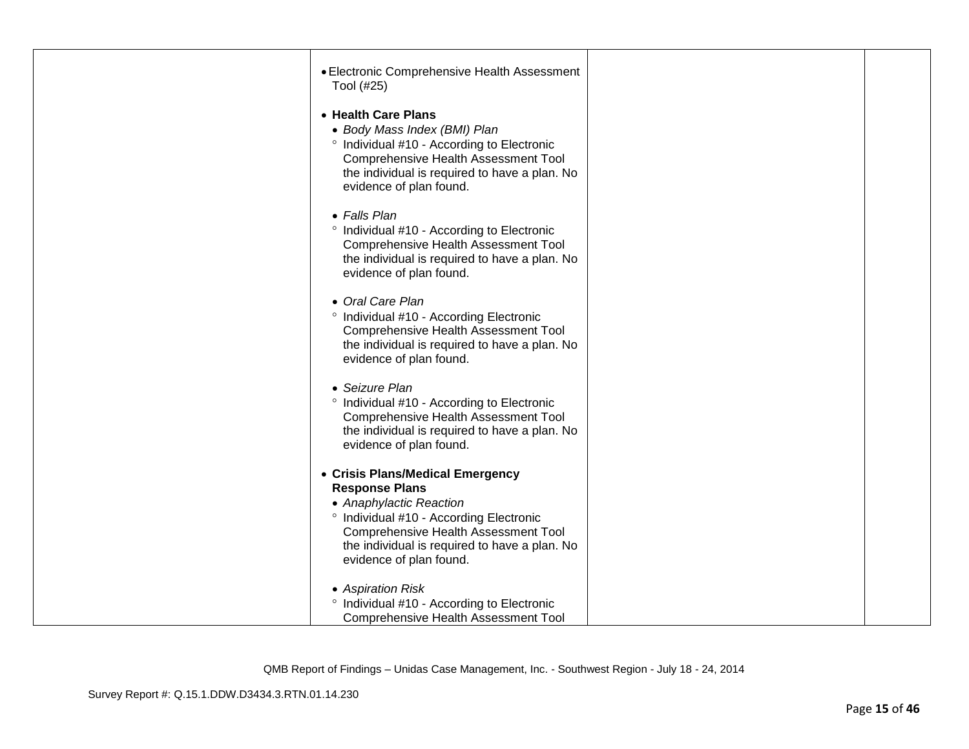| • Electronic Comprehensive Health Assessment<br>Tool (#25)                                                                                                                                                                                          |  |
|-----------------------------------------------------------------------------------------------------------------------------------------------------------------------------------------------------------------------------------------------------|--|
| • Health Care Plans<br>• Body Mass Index (BMI) Plan<br><sup>o</sup> Individual #10 - According to Electronic<br><b>Comprehensive Health Assessment Tool</b><br>the individual is required to have a plan. No<br>evidence of plan found.             |  |
| • Falls Plan<br>° Individual #10 - According to Electronic<br>Comprehensive Health Assessment Tool<br>the individual is required to have a plan. No<br>evidence of plan found.                                                                      |  |
| • Oral Care Plan<br><sup>o</sup> Individual #10 - According Electronic<br>Comprehensive Health Assessment Tool<br>the individual is required to have a plan. No<br>evidence of plan found.                                                          |  |
| • Seizure Plan<br>° Individual #10 - According to Electronic<br><b>Comprehensive Health Assessment Tool</b><br>the individual is required to have a plan. No<br>evidence of plan found.                                                             |  |
| • Crisis Plans/Medical Emergency<br><b>Response Plans</b><br>• Anaphylactic Reaction<br>° Individual #10 - According Electronic<br>Comprehensive Health Assessment Tool<br>the individual is required to have a plan. No<br>evidence of plan found. |  |
| • Aspiration Risk<br>° Individual #10 - According to Electronic<br><b>Comprehensive Health Assessment Tool</b>                                                                                                                                      |  |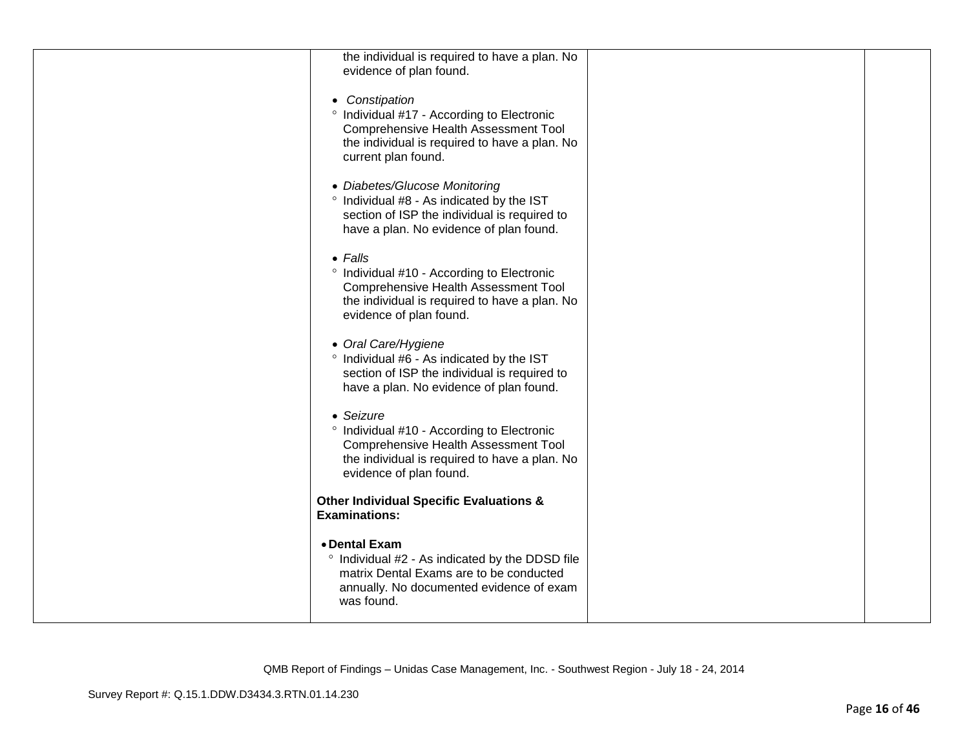| the individual is required to have a plan. No                                         |  |
|---------------------------------------------------------------------------------------|--|
| evidence of plan found.                                                               |  |
|                                                                                       |  |
| • Constipation                                                                        |  |
| ° Individual #17 - According to Electronic                                            |  |
| Comprehensive Health Assessment Tool                                                  |  |
| the individual is required to have a plan. No<br>current plan found.                  |  |
|                                                                                       |  |
| • Diabetes/Glucose Monitoring                                                         |  |
| ° Individual #8 - As indicated by the IST                                             |  |
| section of ISP the individual is required to                                          |  |
| have a plan. No evidence of plan found.                                               |  |
| $\bullet$ Falls                                                                       |  |
| <sup>o</sup> Individual #10 - According to Electronic                                 |  |
| Comprehensive Health Assessment Tool                                                  |  |
| the individual is required to have a plan. No                                         |  |
| evidence of plan found.                                                               |  |
|                                                                                       |  |
| • Oral Care/Hygiene<br>° Individual #6 - As indicated by the IST                      |  |
| section of ISP the individual is required to                                          |  |
| have a plan. No evidence of plan found.                                               |  |
|                                                                                       |  |
| • Seizure                                                                             |  |
| ° Individual #10 - According to Electronic                                            |  |
| Comprehensive Health Assessment Tool<br>the individual is required to have a plan. No |  |
| evidence of plan found.                                                               |  |
|                                                                                       |  |
| <b>Other Individual Specific Evaluations &amp;</b>                                    |  |
| <b>Examinations:</b>                                                                  |  |
| • Dental Exam                                                                         |  |
| Individual #2 - As indicated by the DDSD file<br>$\circ$                              |  |
| matrix Dental Exams are to be conducted                                               |  |
| annually. No documented evidence of exam                                              |  |
| was found.                                                                            |  |
|                                                                                       |  |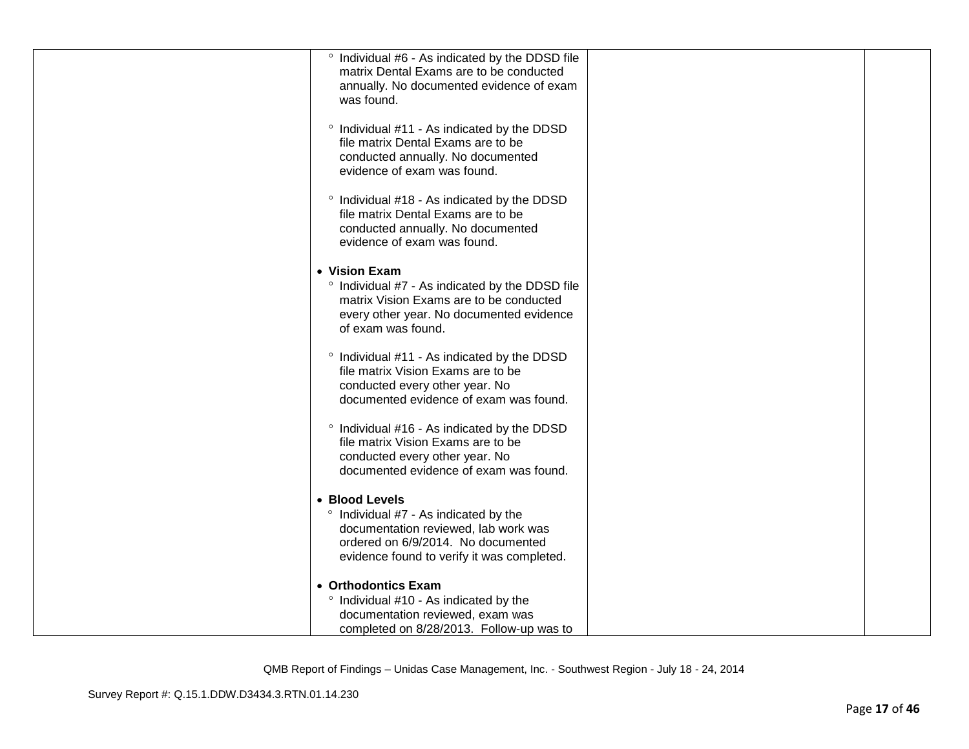| ° Individual #6 - As indicated by the DDSD file<br>matrix Dental Exams are to be conducted<br>annually. No documented evidence of exam                                              |  |
|-------------------------------------------------------------------------------------------------------------------------------------------------------------------------------------|--|
| was found.<br><sup>o</sup> Individual #11 - As indicated by the DDSD                                                                                                                |  |
| file matrix Dental Exams are to be<br>conducted annually. No documented<br>evidence of exam was found.                                                                              |  |
| <sup>o</sup> Individual #18 - As indicated by the DDSD<br>file matrix Dental Exams are to be<br>conducted annually. No documented<br>evidence of exam was found.                    |  |
| • Vision Exam<br>° Individual #7 - As indicated by the DDSD file<br>matrix Vision Exams are to be conducted<br>every other year. No documented evidence<br>of exam was found.       |  |
| <sup>o</sup> Individual #11 - As indicated by the DDSD<br>file matrix Vision Exams are to be<br>conducted every other year. No<br>documented evidence of exam was found.            |  |
| ° Individual #16 - As indicated by the DDSD<br>file matrix Vision Exams are to be<br>conducted every other year. No<br>documented evidence of exam was found.                       |  |
| • Blood Levels<br>° Individual #7 - As indicated by the<br>documentation reviewed, lab work was<br>ordered on 6/9/2014. No documented<br>evidence found to verify it was completed. |  |
| • Orthodontics Exam<br>° Individual #10 - As indicated by the<br>documentation reviewed, exam was<br>completed on 8/28/2013. Follow-up was to                                       |  |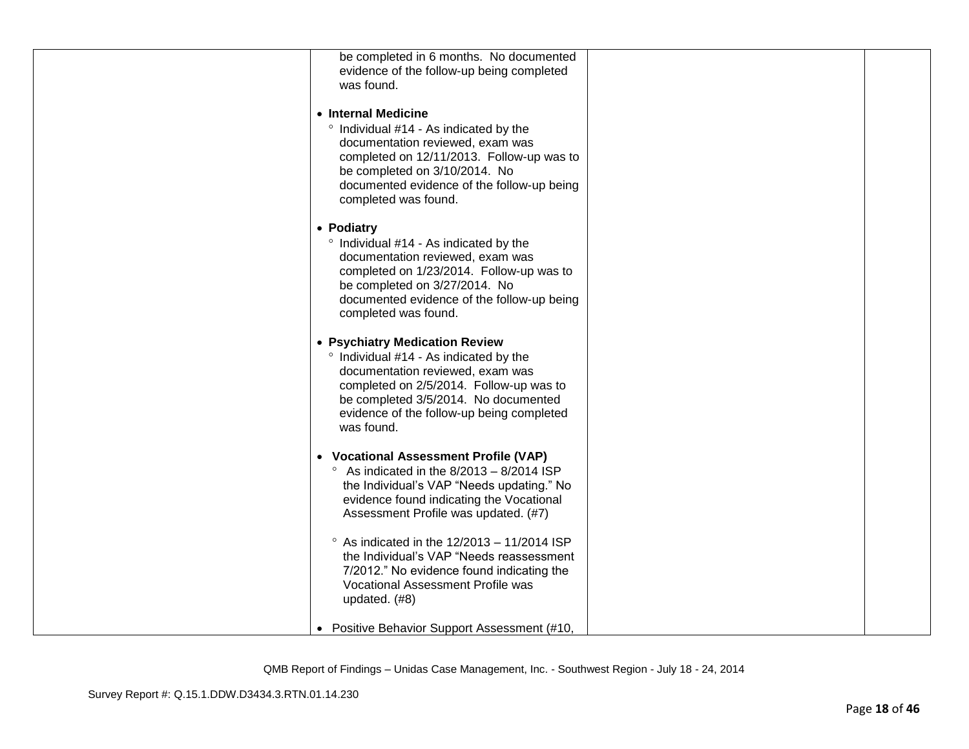| be completed in 6 months. No documented                                               |  |
|---------------------------------------------------------------------------------------|--|
| evidence of the follow-up being completed                                             |  |
| was found.                                                                            |  |
|                                                                                       |  |
| • Internal Medicine                                                                   |  |
| ° Individual #14 - As indicated by the                                                |  |
| documentation reviewed, exam was                                                      |  |
| completed on 12/11/2013. Follow-up was to                                             |  |
| be completed on 3/10/2014. No                                                         |  |
| documented evidence of the follow-up being                                            |  |
| completed was found.                                                                  |  |
| • Podiatry                                                                            |  |
| ° Individual #14 - As indicated by the                                                |  |
| documentation reviewed, exam was                                                      |  |
| completed on 1/23/2014. Follow-up was to                                              |  |
| be completed on 3/27/2014. No                                                         |  |
| documented evidence of the follow-up being                                            |  |
| completed was found.                                                                  |  |
| • Psychiatry Medication Review                                                        |  |
| ° Individual #14 - As indicated by the                                                |  |
| documentation reviewed, exam was                                                      |  |
| completed on 2/5/2014. Follow-up was to                                               |  |
| be completed 3/5/2014. No documented                                                  |  |
| evidence of the follow-up being completed                                             |  |
| was found.                                                                            |  |
| • Vocational Assessment Profile (VAP)                                                 |  |
| $\degree$ As indicated in the 8/2013 - 8/2014 ISP                                     |  |
| the Individual's VAP "Needs updating." No                                             |  |
| evidence found indicating the Vocational                                              |  |
| Assessment Profile was updated. (#7)                                                  |  |
|                                                                                       |  |
| $\degree$ As indicated in the 12/2013 - 11/2014 ISP                                   |  |
| the Individual's VAP "Needs reassessment<br>7/2012." No evidence found indicating the |  |
| Vocational Assessment Profile was                                                     |  |
| updated. (#8)                                                                         |  |
|                                                                                       |  |
| • Positive Behavior Support Assessment (#10,                                          |  |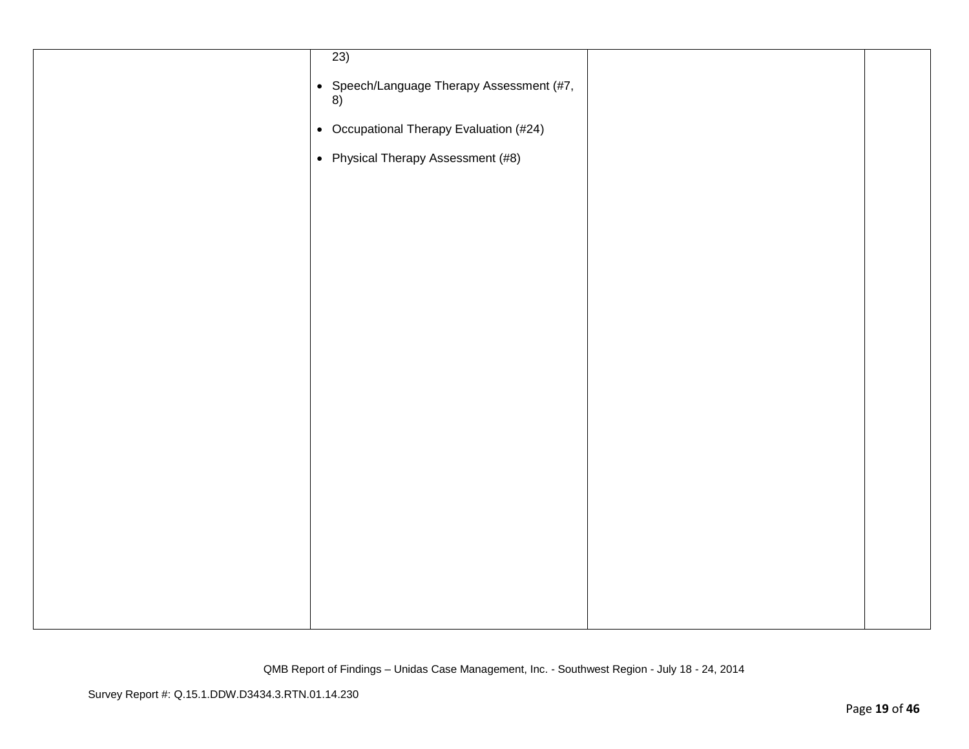| (23)                                            |  |
|-------------------------------------------------|--|
| • Speech/Language Therapy Assessment (#7,<br>8) |  |
| • Occupational Therapy Evaluation (#24)         |  |
| • Physical Therapy Assessment (#8)              |  |
|                                                 |  |
|                                                 |  |
|                                                 |  |
|                                                 |  |
|                                                 |  |
|                                                 |  |
|                                                 |  |
|                                                 |  |
|                                                 |  |
|                                                 |  |
|                                                 |  |
|                                                 |  |
|                                                 |  |
|                                                 |  |
|                                                 |  |
|                                                 |  |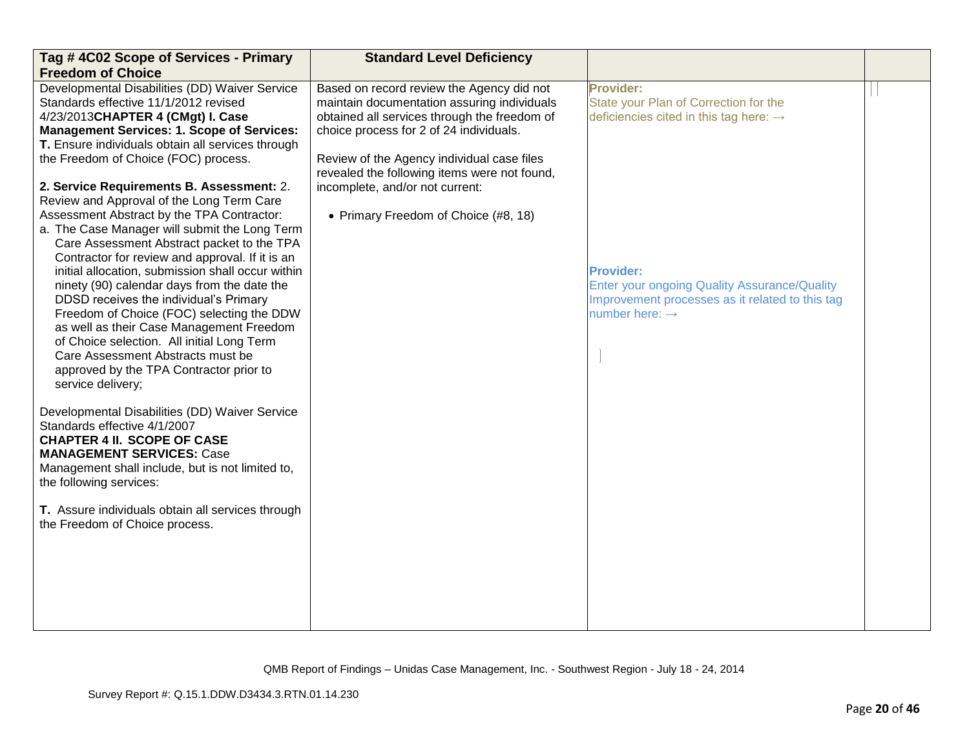| Tag #4C02 Scope of Services - Primary                                           | <b>Standard Level Deficiency</b>             |                                                    |  |
|---------------------------------------------------------------------------------|----------------------------------------------|----------------------------------------------------|--|
| <b>Freedom of Choice</b>                                                        |                                              |                                                    |  |
| Developmental Disabilities (DD) Waiver Service                                  | Based on record review the Agency did not    | Provider:                                          |  |
| Standards effective 11/1/2012 revised                                           | maintain documentation assuring individuals  | State your Plan of Correction for the              |  |
| 4/23/2013 CHAPTER 4 (CMgt) I. Case                                              | obtained all services through the freedom of | deficiencies cited in this tag here: $\rightarrow$ |  |
| <b>Management Services: 1. Scope of Services:</b>                               | choice process for 2 of 24 individuals.      |                                                    |  |
| T. Ensure individuals obtain all services through                               |                                              |                                                    |  |
| the Freedom of Choice (FOC) process.                                            | Review of the Agency individual case files   |                                                    |  |
|                                                                                 | revealed the following items were not found, |                                                    |  |
| 2. Service Requirements B. Assessment: 2.                                       | incomplete, and/or not current:              |                                                    |  |
| Review and Approval of the Long Term Care                                       |                                              |                                                    |  |
| Assessment Abstract by the TPA Contractor:                                      | • Primary Freedom of Choice (#8, 18)         |                                                    |  |
| a. The Case Manager will submit the Long Term                                   |                                              |                                                    |  |
| Care Assessment Abstract packet to the TPA                                      |                                              |                                                    |  |
| Contractor for review and approval. If it is an                                 |                                              |                                                    |  |
| initial allocation, submission shall occur within                               |                                              | <b>Provider:</b>                                   |  |
| ninety (90) calendar days from the date the                                     |                                              | Enter your ongoing Quality Assurance/Quality       |  |
| DDSD receives the individual's Primary                                          |                                              | Improvement processes as it related to this tag    |  |
| Freedom of Choice (FOC) selecting the DDW                                       |                                              | number here: $\rightarrow$                         |  |
| as well as their Case Management Freedom                                        |                                              |                                                    |  |
| of Choice selection. All initial Long Term<br>Care Assessment Abstracts must be |                                              |                                                    |  |
| approved by the TPA Contractor prior to                                         |                                              |                                                    |  |
| service delivery;                                                               |                                              |                                                    |  |
|                                                                                 |                                              |                                                    |  |
| Developmental Disabilities (DD) Waiver Service                                  |                                              |                                                    |  |
| Standards effective 4/1/2007                                                    |                                              |                                                    |  |
| <b>CHAPTER 4 II. SCOPE OF CASE</b>                                              |                                              |                                                    |  |
| <b>MANAGEMENT SERVICES: Case</b>                                                |                                              |                                                    |  |
| Management shall include, but is not limited to,                                |                                              |                                                    |  |
| the following services:                                                         |                                              |                                                    |  |
|                                                                                 |                                              |                                                    |  |
| T. Assure individuals obtain all services through                               |                                              |                                                    |  |
| the Freedom of Choice process.                                                  |                                              |                                                    |  |
|                                                                                 |                                              |                                                    |  |
|                                                                                 |                                              |                                                    |  |
|                                                                                 |                                              |                                                    |  |
|                                                                                 |                                              |                                                    |  |
|                                                                                 |                                              |                                                    |  |
|                                                                                 |                                              |                                                    |  |
|                                                                                 |                                              |                                                    |  |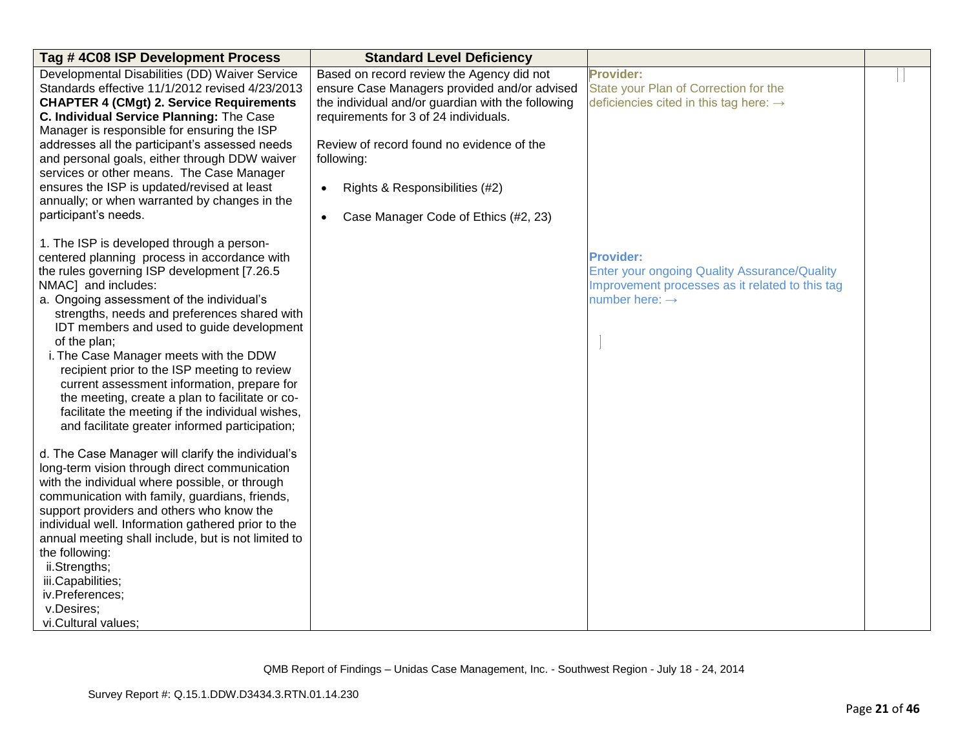| Tag #4C08 ISP Development Process                   | <b>Standard Level Deficiency</b>                  |                                                     |  |
|-----------------------------------------------------|---------------------------------------------------|-----------------------------------------------------|--|
| Developmental Disabilities (DD) Waiver Service      | Based on record review the Agency did not         | <b>Provider:</b>                                    |  |
| Standards effective 11/1/2012 revised 4/23/2013     | ensure Case Managers provided and/or advised      | State your Plan of Correction for the               |  |
| <b>CHAPTER 4 (CMgt) 2. Service Requirements</b>     | the individual and/or guardian with the following | deficiencies cited in this tag here: $\rightarrow$  |  |
| C. Individual Service Planning: The Case            | requirements for 3 of 24 individuals.             |                                                     |  |
| Manager is responsible for ensuring the ISP         |                                                   |                                                     |  |
| addresses all the participant's assessed needs      | Review of record found no evidence of the         |                                                     |  |
| and personal goals, either through DDW waiver       | following:                                        |                                                     |  |
| services or other means. The Case Manager           |                                                   |                                                     |  |
| ensures the ISP is updated/revised at least         | Rights & Responsibilities (#2)<br>$\bullet$       |                                                     |  |
| annually; or when warranted by changes in the       |                                                   |                                                     |  |
| participant's needs.                                | Case Manager Code of Ethics (#2, 23)<br>$\bullet$ |                                                     |  |
| 1. The ISP is developed through a person-           |                                                   |                                                     |  |
| centered planning process in accordance with        |                                                   | <b>Provider:</b>                                    |  |
| the rules governing ISP development [7.26.5]        |                                                   | <b>Enter your ongoing Quality Assurance/Quality</b> |  |
| NMAC] and includes:                                 |                                                   | Improvement processes as it related to this tag     |  |
| a. Ongoing assessment of the individual's           |                                                   | number here: $\rightarrow$                          |  |
| strengths, needs and preferences shared with        |                                                   |                                                     |  |
| IDT members and used to guide development           |                                                   |                                                     |  |
| of the plan;                                        |                                                   |                                                     |  |
| i. The Case Manager meets with the DDW              |                                                   |                                                     |  |
| recipient prior to the ISP meeting to review        |                                                   |                                                     |  |
| current assessment information, prepare for         |                                                   |                                                     |  |
| the meeting, create a plan to facilitate or co-     |                                                   |                                                     |  |
| facilitate the meeting if the individual wishes,    |                                                   |                                                     |  |
| and facilitate greater informed participation;      |                                                   |                                                     |  |
|                                                     |                                                   |                                                     |  |
| d. The Case Manager will clarify the individual's   |                                                   |                                                     |  |
| long-term vision through direct communication       |                                                   |                                                     |  |
| with the individual where possible, or through      |                                                   |                                                     |  |
| communication with family, guardians, friends,      |                                                   |                                                     |  |
| support providers and others who know the           |                                                   |                                                     |  |
| individual well. Information gathered prior to the  |                                                   |                                                     |  |
| annual meeting shall include, but is not limited to |                                                   |                                                     |  |
| the following:                                      |                                                   |                                                     |  |
| ii.Strengths;                                       |                                                   |                                                     |  |
| iii.Capabilities;                                   |                                                   |                                                     |  |
| iv.Preferences;                                     |                                                   |                                                     |  |
| v.Desires;                                          |                                                   |                                                     |  |
| vi.Cultural values;                                 |                                                   |                                                     |  |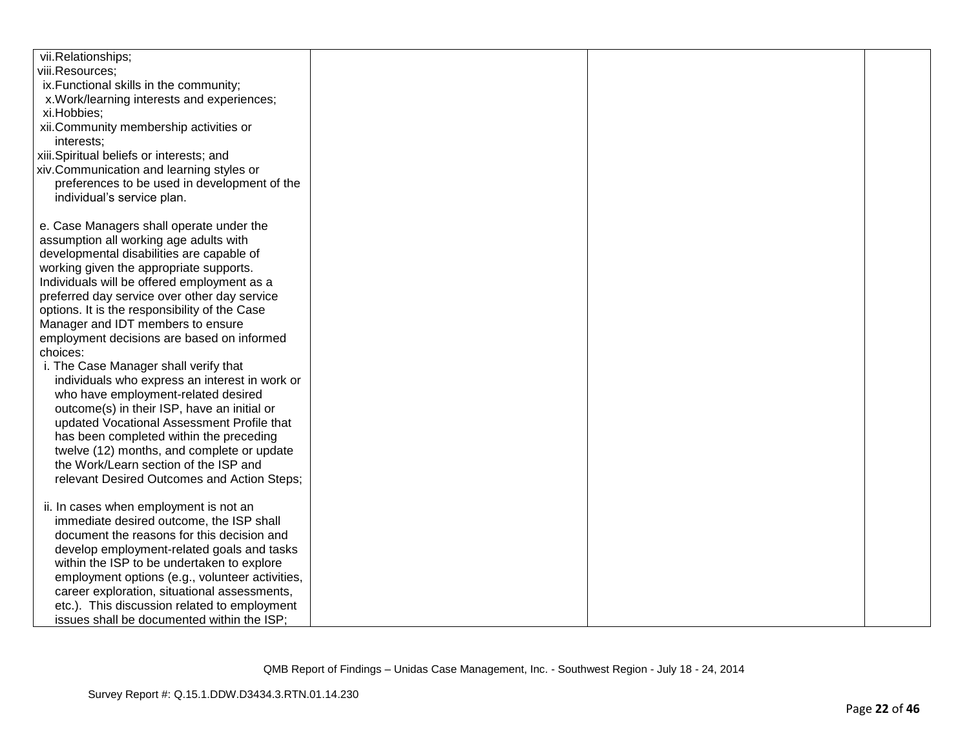| vii.Relationships;                                     |  |  |
|--------------------------------------------------------|--|--|
| viii.Resources;                                        |  |  |
| ix. Functional skills in the community;                |  |  |
| x. Work/learning interests and experiences;            |  |  |
| xi.Hobbies;                                            |  |  |
| xii.Community membership activities or                 |  |  |
| interests:                                             |  |  |
| xiii. Spiritual beliefs or interests; and              |  |  |
| xiv.Communication and learning styles or               |  |  |
| preferences to be used in development of the           |  |  |
| individual's service plan.                             |  |  |
|                                                        |  |  |
| e. Case Managers shall operate under the               |  |  |
| assumption all working age adults with                 |  |  |
| developmental disabilities are capable of              |  |  |
| working given the appropriate supports.                |  |  |
| Individuals will be offered employment as a            |  |  |
| preferred day service over other day service           |  |  |
| options. It is the responsibility of the Case          |  |  |
| Manager and IDT members to ensure                      |  |  |
|                                                        |  |  |
| employment decisions are based on informed<br>choices: |  |  |
|                                                        |  |  |
| i. The Case Manager shall verify that                  |  |  |
| individuals who express an interest in work or         |  |  |
| who have employment-related desired                    |  |  |
| outcome(s) in their ISP, have an initial or            |  |  |
| updated Vocational Assessment Profile that             |  |  |
| has been completed within the preceding                |  |  |
| twelve (12) months, and complete or update             |  |  |
| the Work/Learn section of the ISP and                  |  |  |
| relevant Desired Outcomes and Action Steps;            |  |  |
|                                                        |  |  |
| ii. In cases when employment is not an                 |  |  |
| immediate desired outcome, the ISP shall               |  |  |
| document the reasons for this decision and             |  |  |
| develop employment-related goals and tasks             |  |  |
| within the ISP to be undertaken to explore             |  |  |
| employment options (e.g., volunteer activities,        |  |  |
| career exploration, situational assessments,           |  |  |
| etc.). This discussion related to employment           |  |  |
| issues shall be documented within the ISP;             |  |  |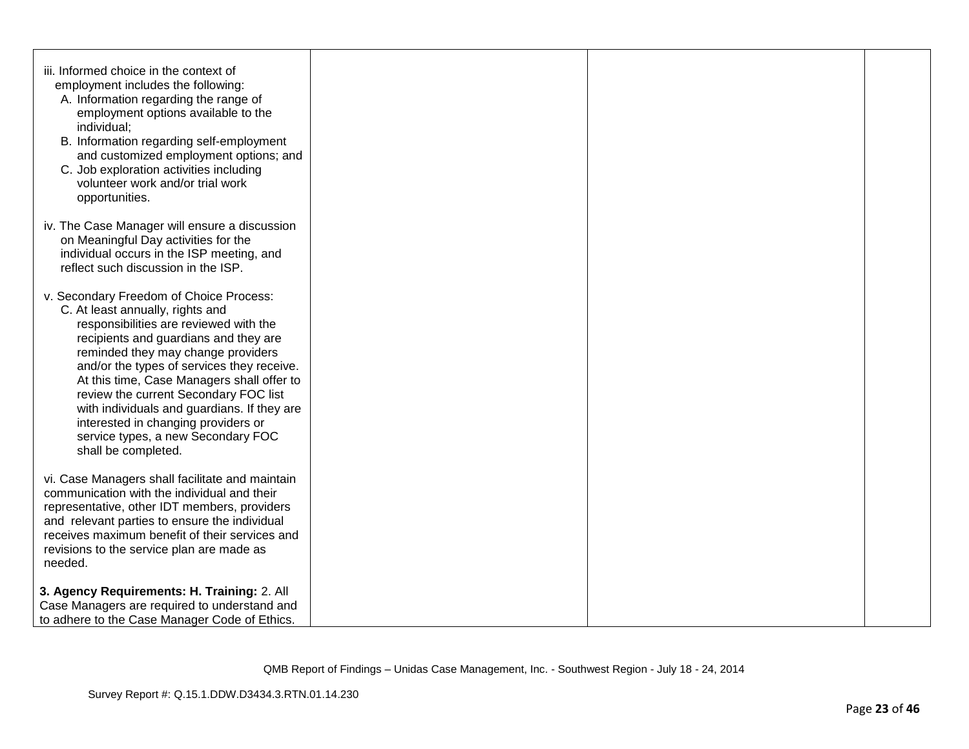| iii. Informed choice in the context of<br>employment includes the following:<br>A. Information regarding the range of<br>employment options available to the<br>individual;<br>B. Information regarding self-employment<br>and customized employment options; and<br>C. Job exploration activities including<br>volunteer work and/or trial work<br>opportunities.                                                                                                                           |  |  |
|----------------------------------------------------------------------------------------------------------------------------------------------------------------------------------------------------------------------------------------------------------------------------------------------------------------------------------------------------------------------------------------------------------------------------------------------------------------------------------------------|--|--|
| iv. The Case Manager will ensure a discussion<br>on Meaningful Day activities for the<br>individual occurs in the ISP meeting, and<br>reflect such discussion in the ISP.                                                                                                                                                                                                                                                                                                                    |  |  |
| v. Secondary Freedom of Choice Process:<br>C. At least annually, rights and<br>responsibilities are reviewed with the<br>recipients and guardians and they are<br>reminded they may change providers<br>and/or the types of services they receive.<br>At this time, Case Managers shall offer to<br>review the current Secondary FOC list<br>with individuals and guardians. If they are<br>interested in changing providers or<br>service types, a new Secondary FOC<br>shall be completed. |  |  |
| vi. Case Managers shall facilitate and maintain<br>communication with the individual and their<br>representative, other IDT members, providers<br>and relevant parties to ensure the individual<br>receives maximum benefit of their services and<br>revisions to the service plan are made as<br>needed.                                                                                                                                                                                    |  |  |
| 3. Agency Requirements: H. Training: 2. All<br>Case Managers are required to understand and<br>to adhere to the Case Manager Code of Ethics.                                                                                                                                                                                                                                                                                                                                                 |  |  |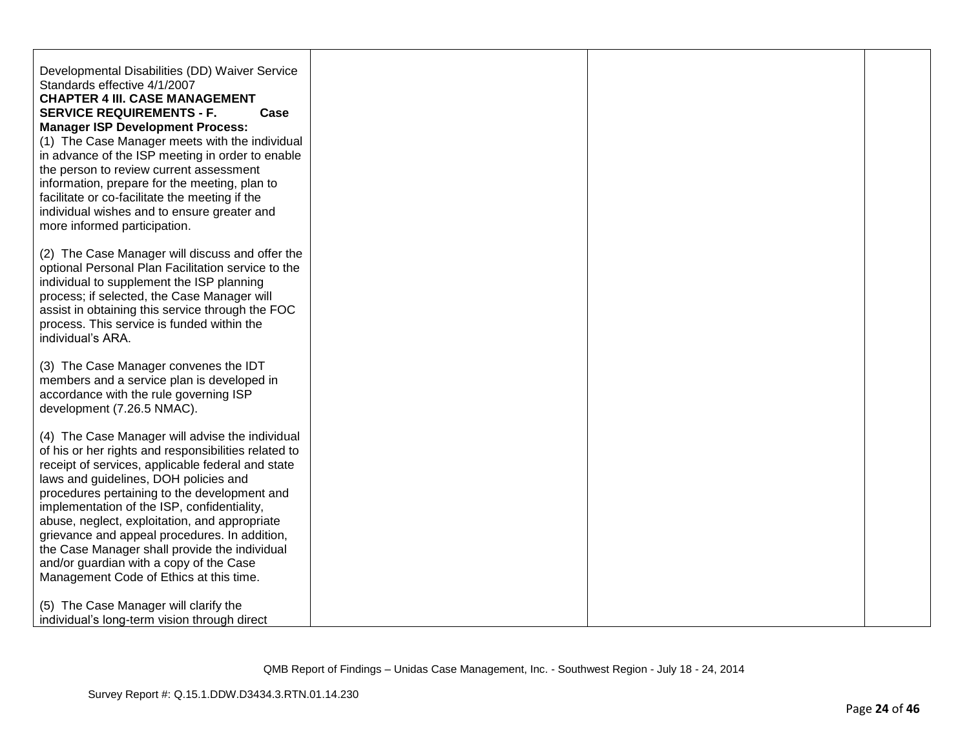| Developmental Disabilities (DD) Waiver Service<br>Standards effective 4/1/2007<br><b>CHAPTER 4 III. CASE MANAGEMENT</b><br><b>SERVICE REQUIREMENTS - F.</b><br>Case<br><b>Manager ISP Development Process:</b><br>(1) The Case Manager meets with the individual<br>in advance of the ISP meeting in order to enable<br>the person to review current assessment<br>information, prepare for the meeting, plan to<br>facilitate or co-facilitate the meeting if the<br>individual wishes and to ensure greater and<br>more informed participation. |  |  |
|---------------------------------------------------------------------------------------------------------------------------------------------------------------------------------------------------------------------------------------------------------------------------------------------------------------------------------------------------------------------------------------------------------------------------------------------------------------------------------------------------------------------------------------------------|--|--|
| (2) The Case Manager will discuss and offer the<br>optional Personal Plan Facilitation service to the<br>individual to supplement the ISP planning<br>process; if selected, the Case Manager will<br>assist in obtaining this service through the FOC<br>process. This service is funded within the<br>individual's ARA.                                                                                                                                                                                                                          |  |  |
| (3) The Case Manager convenes the IDT<br>members and a service plan is developed in<br>accordance with the rule governing ISP<br>development (7.26.5 NMAC).                                                                                                                                                                                                                                                                                                                                                                                       |  |  |
| (4) The Case Manager will advise the individual<br>of his or her rights and responsibilities related to<br>receipt of services, applicable federal and state<br>laws and guidelines, DOH policies and<br>procedures pertaining to the development and<br>implementation of the ISP, confidentiality,<br>abuse, neglect, exploitation, and appropriate<br>grievance and appeal procedures. In addition,<br>the Case Manager shall provide the individual<br>and/or guardian with a copy of the Case<br>Management Code of Ethics at this time.     |  |  |
| (5) The Case Manager will clarify the<br>individual's long-term vision through direct                                                                                                                                                                                                                                                                                                                                                                                                                                                             |  |  |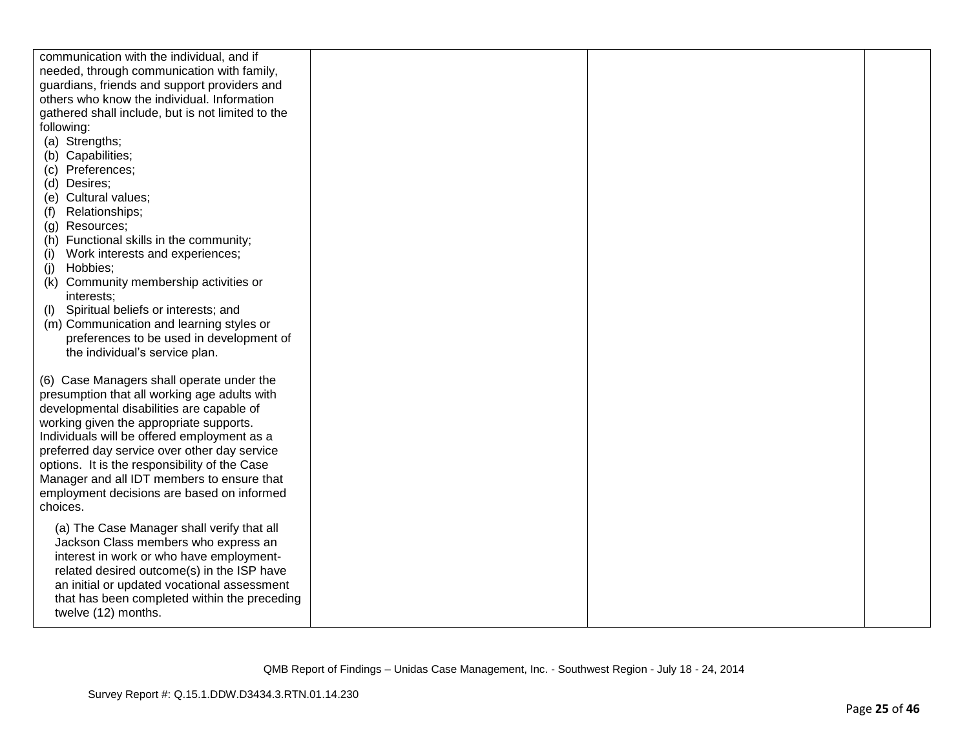| communication with the individual, and if         |  |  |
|---------------------------------------------------|--|--|
| needed, through communication with family,        |  |  |
| guardians, friends and support providers and      |  |  |
| others who know the individual. Information       |  |  |
| gathered shall include, but is not limited to the |  |  |
| following:                                        |  |  |
| (a) Strengths;                                    |  |  |
| (b) Capabilities;                                 |  |  |
| Preferences;<br>(c)                               |  |  |
| (d) Desires;                                      |  |  |
| Cultural values;<br>(e)                           |  |  |
| Relationships;<br>(f)                             |  |  |
| (g) Resources;                                    |  |  |
| Functional skills in the community;<br>(h)        |  |  |
| Work interests and experiences;<br>(i)            |  |  |
| Hobbies;<br>(j)                                   |  |  |
| Community membership activities or<br>(k)         |  |  |
| interests;                                        |  |  |
| Spiritual beliefs or interests; and<br>(1)        |  |  |
| (m) Communication and learning styles or          |  |  |
| preferences to be used in development of          |  |  |
| the individual's service plan.                    |  |  |
|                                                   |  |  |
| (6) Case Managers shall operate under the         |  |  |
| presumption that all working age adults with      |  |  |
| developmental disabilities are capable of         |  |  |
| working given the appropriate supports.           |  |  |
| Individuals will be offered employment as a       |  |  |
| preferred day service over other day service      |  |  |
| options. It is the responsibility of the Case     |  |  |
| Manager and all IDT members to ensure that        |  |  |
| employment decisions are based on informed        |  |  |
| choices.                                          |  |  |
| (a) The Case Manager shall verify that all        |  |  |
| Jackson Class members who express an              |  |  |
| interest in work or who have employment-          |  |  |
| related desired outcome(s) in the ISP have        |  |  |
| an initial or updated vocational assessment       |  |  |
| that has been completed within the preceding      |  |  |
| twelve (12) months.                               |  |  |
|                                                   |  |  |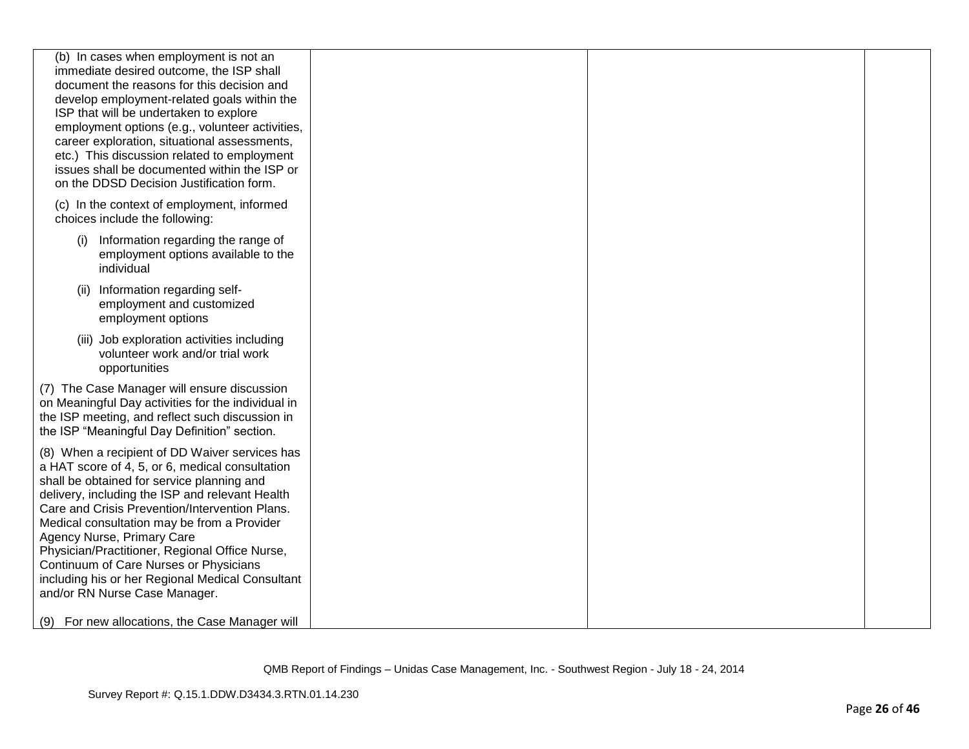| (b) In cases when employment is not an<br>immediate desired outcome, the ISP shall<br>document the reasons for this decision and<br>develop employment-related goals within the<br>ISP that will be undertaken to explore<br>employment options (e.g., volunteer activities,<br>career exploration, situational assessments,<br>etc.) This discussion related to employment<br>issues shall be documented within the ISP or<br>on the DDSD Decision Justification form.                                            |  |  |
|--------------------------------------------------------------------------------------------------------------------------------------------------------------------------------------------------------------------------------------------------------------------------------------------------------------------------------------------------------------------------------------------------------------------------------------------------------------------------------------------------------------------|--|--|
| (c) In the context of employment, informed<br>choices include the following:                                                                                                                                                                                                                                                                                                                                                                                                                                       |  |  |
| Information regarding the range of<br>(i)<br>employment options available to the<br>individual                                                                                                                                                                                                                                                                                                                                                                                                                     |  |  |
| Information regarding self-<br>(ii)<br>employment and customized<br>employment options                                                                                                                                                                                                                                                                                                                                                                                                                             |  |  |
| (iii) Job exploration activities including<br>volunteer work and/or trial work<br>opportunities                                                                                                                                                                                                                                                                                                                                                                                                                    |  |  |
| (7) The Case Manager will ensure discussion<br>on Meaningful Day activities for the individual in<br>the ISP meeting, and reflect such discussion in<br>the ISP "Meaningful Day Definition" section.                                                                                                                                                                                                                                                                                                               |  |  |
| (8) When a recipient of DD Waiver services has<br>a HAT score of 4, 5, or 6, medical consultation<br>shall be obtained for service planning and<br>delivery, including the ISP and relevant Health<br>Care and Crisis Prevention/Intervention Plans.<br>Medical consultation may be from a Provider<br>Agency Nurse, Primary Care<br>Physician/Practitioner, Regional Office Nurse,<br>Continuum of Care Nurses or Physicians<br>including his or her Regional Medical Consultant<br>and/or RN Nurse Case Manager. |  |  |
| (9) For new allocations, the Case Manager will                                                                                                                                                                                                                                                                                                                                                                                                                                                                     |  |  |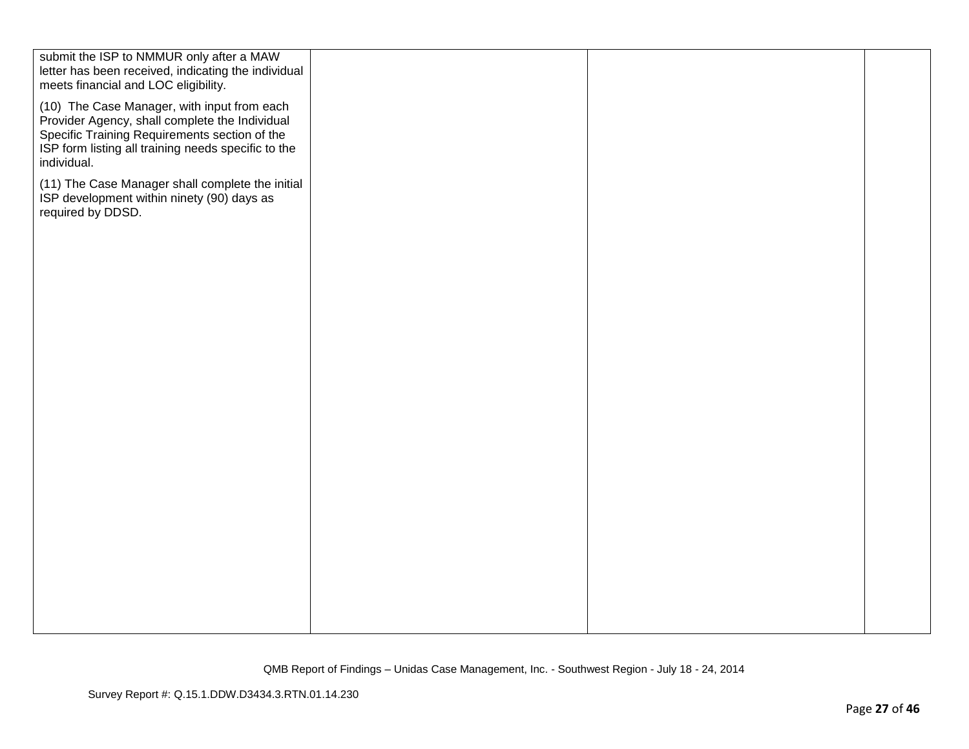| submit the ISP to NMMUR only after a MAW<br>letter has been received, indicating the individual<br>meets financial and LOC eligibility.                                                                              |  |  |
|----------------------------------------------------------------------------------------------------------------------------------------------------------------------------------------------------------------------|--|--|
| (10) The Case Manager, with input from each<br>Provider Agency, shall complete the Individual<br>Specific Training Requirements section of the<br>ISP form listing all training needs specific to the<br>individual. |  |  |
| (11) The Case Manager shall complete the initial<br>ISP development within ninety (90) days as<br>required by DDSD.                                                                                                  |  |  |
|                                                                                                                                                                                                                      |  |  |
|                                                                                                                                                                                                                      |  |  |
|                                                                                                                                                                                                                      |  |  |
|                                                                                                                                                                                                                      |  |  |
|                                                                                                                                                                                                                      |  |  |
|                                                                                                                                                                                                                      |  |  |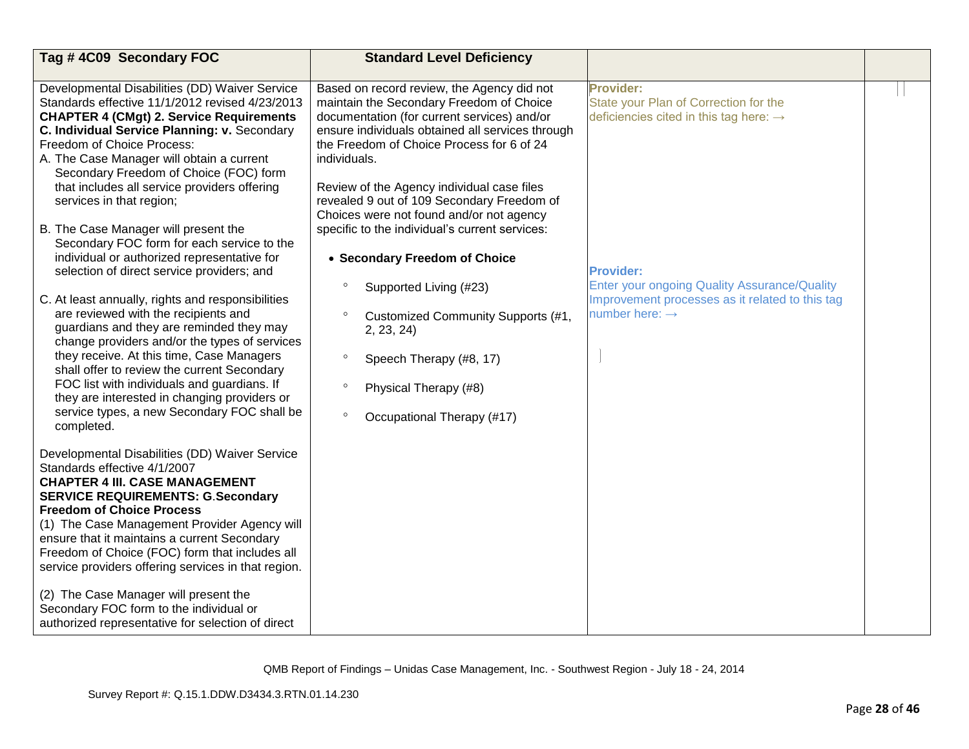| Tag #4C09 Secondary FOC                                                                                                                                                                                                                                                                                                                                                                                                                                                                                                                                                                                                           | <b>Standard Level Deficiency</b>                                                                                                                                                                                                                                                                                                                   |                                                                                                                                                          |  |
|-----------------------------------------------------------------------------------------------------------------------------------------------------------------------------------------------------------------------------------------------------------------------------------------------------------------------------------------------------------------------------------------------------------------------------------------------------------------------------------------------------------------------------------------------------------------------------------------------------------------------------------|----------------------------------------------------------------------------------------------------------------------------------------------------------------------------------------------------------------------------------------------------------------------------------------------------------------------------------------------------|----------------------------------------------------------------------------------------------------------------------------------------------------------|--|
|                                                                                                                                                                                                                                                                                                                                                                                                                                                                                                                                                                                                                                   |                                                                                                                                                                                                                                                                                                                                                    |                                                                                                                                                          |  |
| Developmental Disabilities (DD) Waiver Service<br>Standards effective 11/1/2012 revised 4/23/2013<br><b>CHAPTER 4 (CMgt) 2. Service Requirements</b><br>C. Individual Service Planning: v. Secondary<br>Freedom of Choice Process:<br>A. The Case Manager will obtain a current<br>Secondary Freedom of Choice (FOC) form<br>that includes all service providers offering<br>services in that region;                                                                                                                                                                                                                             | Based on record review, the Agency did not<br>maintain the Secondary Freedom of Choice<br>documentation (for current services) and/or<br>ensure individuals obtained all services through<br>the Freedom of Choice Process for 6 of 24<br>individuals.<br>Review of the Agency individual case files<br>revealed 9 out of 109 Secondary Freedom of | Provider:<br>State your Plan of Correction for the<br>deficiencies cited in this tag here: $\rightarrow$                                                 |  |
| B. The Case Manager will present the<br>Secondary FOC form for each service to the<br>individual or authorized representative for<br>selection of direct service providers; and<br>C. At least annually, rights and responsibilities<br>are reviewed with the recipients and<br>guardians and they are reminded they may<br>change providers and/or the types of services<br>they receive. At this time, Case Managers<br>shall offer to review the current Secondary<br>FOC list with individuals and guardians. If<br>they are interested in changing providers or<br>service types, a new Secondary FOC shall be<br>completed. | Choices were not found and/or not agency<br>specific to the individual's current services:<br>• Secondary Freedom of Choice<br>$\circ$<br>Supported Living (#23)<br>Customized Community Supports (#1,<br>2, 23, 24)<br>$\circ$<br>Speech Therapy (#8, 17)<br>$\circ$<br>Physical Therapy (#8)<br>$\circ$<br>Occupational Therapy (#17)            | <b>Provider:</b><br><b>Enter your ongoing Quality Assurance/Quality</b><br>Improvement processes as it related to this tag<br>number here: $\rightarrow$ |  |
| Developmental Disabilities (DD) Waiver Service<br>Standards effective 4/1/2007<br><b>CHAPTER 4 III. CASE MANAGEMENT</b><br><b>SERVICE REQUIREMENTS: G. Secondary</b><br><b>Freedom of Choice Process</b><br>(1) The Case Management Provider Agency will<br>ensure that it maintains a current Secondary<br>Freedom of Choice (FOC) form that includes all<br>service providers offering services in that region.<br>(2) The Case Manager will present the<br>Secondary FOC form to the individual or<br>authorized representative for selection of direct                                                                        |                                                                                                                                                                                                                                                                                                                                                    |                                                                                                                                                          |  |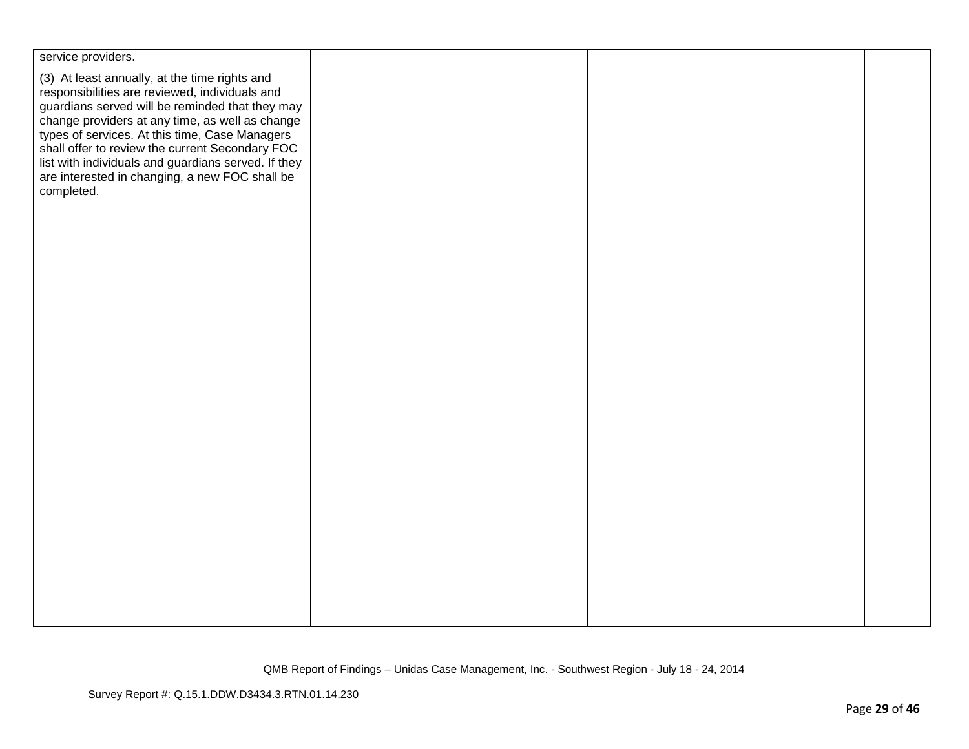| service providers.                                                                                                                                                                                                                                      |  |  |
|---------------------------------------------------------------------------------------------------------------------------------------------------------------------------------------------------------------------------------------------------------|--|--|
| (3) At least annually, at the time rights and<br>responsibilities are reviewed, individuals and<br>guardians served will be reminded that they may<br>change providers at any time, as well as change<br>types of services. At this time, Case Managers |  |  |
| shall offer to review the current Secondary FOC<br>list with individuals and guardians served. If they<br>are interested in changing, a new FOC shall be<br>completed.                                                                                  |  |  |
|                                                                                                                                                                                                                                                         |  |  |
|                                                                                                                                                                                                                                                         |  |  |
|                                                                                                                                                                                                                                                         |  |  |
|                                                                                                                                                                                                                                                         |  |  |
|                                                                                                                                                                                                                                                         |  |  |
|                                                                                                                                                                                                                                                         |  |  |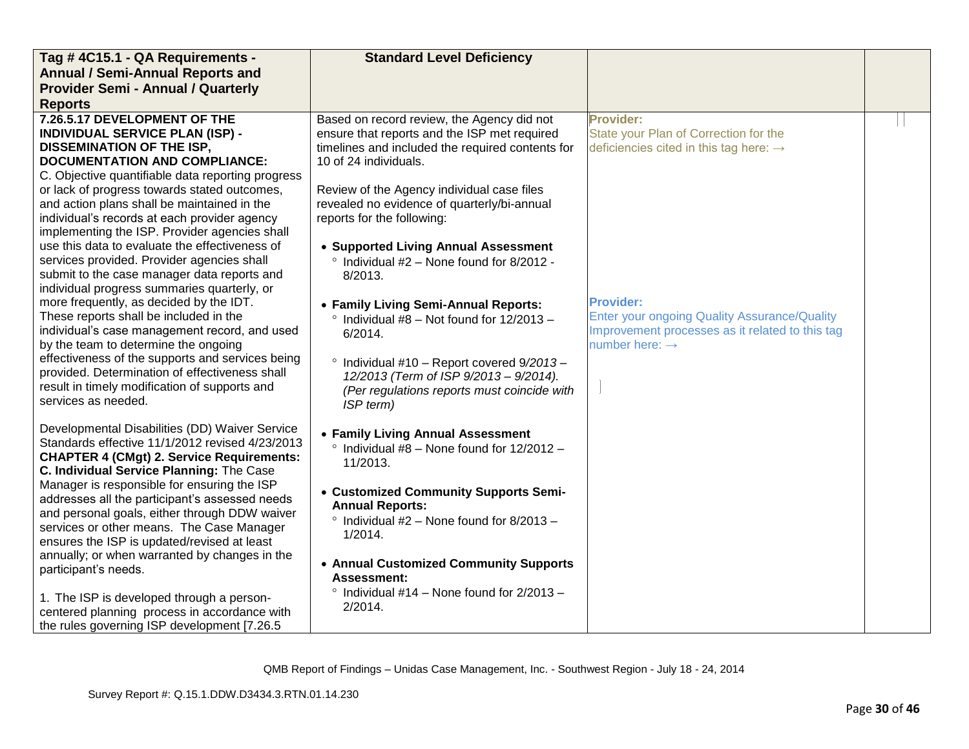| Tag #4C15.1 - QA Requirements -                                                                   | <b>Standard Level Deficiency</b>                       |                                                     |  |
|---------------------------------------------------------------------------------------------------|--------------------------------------------------------|-----------------------------------------------------|--|
| <b>Annual / Semi-Annual Reports and</b>                                                           |                                                        |                                                     |  |
| <b>Provider Semi - Annual / Quarterly</b>                                                         |                                                        |                                                     |  |
| <b>Reports</b>                                                                                    |                                                        |                                                     |  |
| 7.26.5.17 DEVELOPMENT OF THE                                                                      | Based on record review, the Agency did not             | Provider:                                           |  |
| <b>INDIVIDUAL SERVICE PLAN (ISP) -</b>                                                            | ensure that reports and the ISP met required           | State your Plan of Correction for the               |  |
| <b>DISSEMINATION OF THE ISP,</b>                                                                  | timelines and included the required contents for       | deficiencies cited in this tag here: $\rightarrow$  |  |
| <b>DOCUMENTATION AND COMPLIANCE:</b>                                                              | 10 of 24 individuals.                                  |                                                     |  |
| C. Objective quantifiable data reporting progress                                                 |                                                        |                                                     |  |
| or lack of progress towards stated outcomes,                                                      | Review of the Agency individual case files             |                                                     |  |
| and action plans shall be maintained in the                                                       | revealed no evidence of quarterly/bi-annual            |                                                     |  |
| individual's records at each provider agency                                                      | reports for the following:                             |                                                     |  |
| implementing the ISP. Provider agencies shall                                                     |                                                        |                                                     |  |
| use this data to evaluate the effectiveness of                                                    | • Supported Living Annual Assessment                   |                                                     |  |
| services provided. Provider agencies shall                                                        | <sup>o</sup> Individual #2 - None found for 8/2012 -   |                                                     |  |
| submit to the case manager data reports and                                                       | 8/2013.                                                |                                                     |  |
| individual progress summaries quarterly, or                                                       |                                                        |                                                     |  |
| more frequently, as decided by the IDT.                                                           | • Family Living Semi-Annual Reports:                   | <b>Provider:</b>                                    |  |
| These reports shall be included in the                                                            | Individual $#8 - Not$ found for $12/2013 -$<br>$\circ$ | <b>Enter your ongoing Quality Assurance/Quality</b> |  |
| individual's case management record, and used                                                     | 6/2014.                                                | Improvement processes as it related to this tag     |  |
| by the team to determine the ongoing                                                              |                                                        | number here: $\rightarrow$                          |  |
| effectiveness of the supports and services being                                                  | <sup>o</sup> Individual #10 - Report covered 9/2013 -  |                                                     |  |
| provided. Determination of effectiveness shall                                                    | 12/2013 (Term of ISP 9/2013 - 9/2014).                 |                                                     |  |
| result in timely modification of supports and                                                     | (Per regulations reports must coincide with            |                                                     |  |
| services as needed.                                                                               | ISP term)                                              |                                                     |  |
|                                                                                                   |                                                        |                                                     |  |
| Developmental Disabilities (DD) Waiver Service<br>Standards effective 11/1/2012 revised 4/23/2013 | • Family Living Annual Assessment                      |                                                     |  |
|                                                                                                   | $\degree$ Individual #8 - None found for 12/2012 -     |                                                     |  |
| <b>CHAPTER 4 (CMgt) 2. Service Requirements:</b><br>C. Individual Service Planning: The Case      | 11/2013.                                               |                                                     |  |
| Manager is responsible for ensuring the ISP                                                       |                                                        |                                                     |  |
| addresses all the participant's assessed needs                                                    | • Customized Community Supports Semi-                  |                                                     |  |
| and personal goals, either through DDW waiver                                                     | <b>Annual Reports:</b>                                 |                                                     |  |
| services or other means. The Case Manager                                                         | $\degree$ Individual #2 - None found for 8/2013 -      |                                                     |  |
| ensures the ISP is updated/revised at least                                                       | 1/2014.                                                |                                                     |  |
| annually; or when warranted by changes in the                                                     |                                                        |                                                     |  |
| participant's needs.                                                                              | • Annual Customized Community Supports                 |                                                     |  |
|                                                                                                   | <b>Assessment:</b>                                     |                                                     |  |
| 1. The ISP is developed through a person-                                                         | $\degree$ Individual #14 - None found for 2/2013 -     |                                                     |  |
| centered planning process in accordance with                                                      | 2/2014.                                                |                                                     |  |
| the rules governing ISP development [7.26.5]                                                      |                                                        |                                                     |  |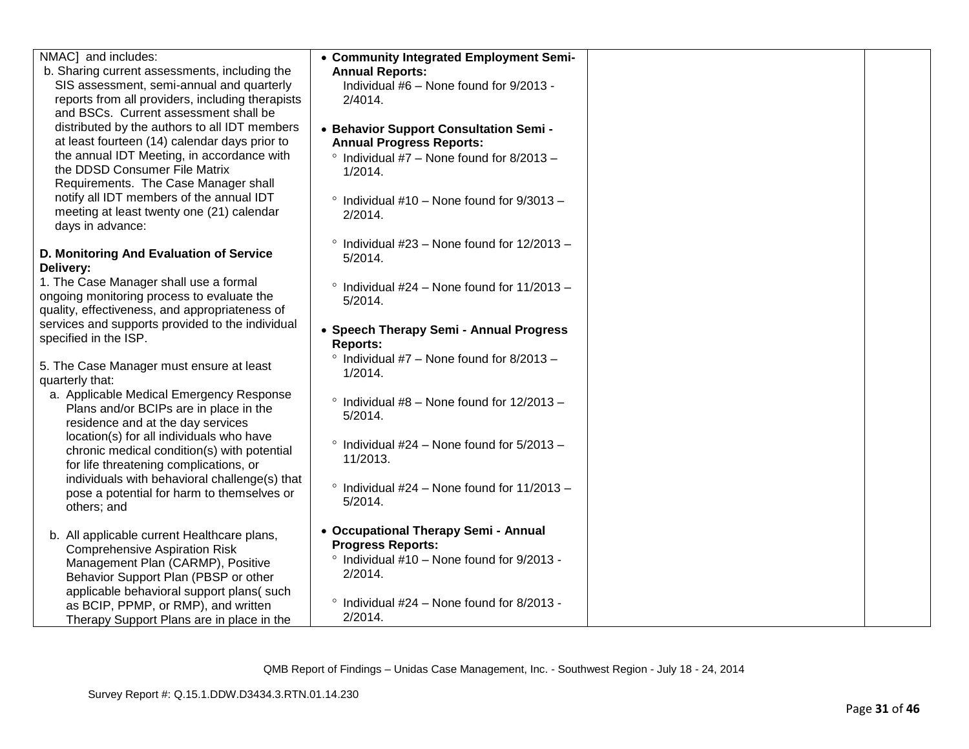| NMAC] and includes:                                                           | • Community Integrated Employment Semi-             |  |
|-------------------------------------------------------------------------------|-----------------------------------------------------|--|
| b. Sharing current assessments, including the                                 | <b>Annual Reports:</b>                              |  |
| SIS assessment, semi-annual and quarterly                                     | Individual #6 - None found for 9/2013 -             |  |
| reports from all providers, including therapists                              | 2/4014.                                             |  |
| and BSCs. Current assessment shall be                                         |                                                     |  |
| distributed by the authors to all IDT members                                 | • Behavior Support Consultation Semi -              |  |
| at least fourteen (14) calendar days prior to                                 | <b>Annual Progress Reports:</b>                     |  |
| the annual IDT Meeting, in accordance with                                    | $\degree$ Individual #7 - None found for 8/2013 -   |  |
| the DDSD Consumer File Matrix                                                 | 1/2014.                                             |  |
| Requirements. The Case Manager shall                                          |                                                     |  |
| notify all IDT members of the annual IDT                                      | $\degree$ Individual #10 - None found for 9/3013 -  |  |
| meeting at least twenty one (21) calendar                                     | 2/2014.                                             |  |
| days in advance:                                                              |                                                     |  |
|                                                                               | $\degree$ Individual #23 - None found for 12/2013 - |  |
| D. Monitoring And Evaluation of Service                                       | 5/2014.                                             |  |
| Delivery:                                                                     |                                                     |  |
| 1. The Case Manager shall use a formal                                        | $\degree$ Individual #24 - None found for 11/2013 - |  |
| ongoing monitoring process to evaluate the                                    | 5/2014.                                             |  |
| quality, effectiveness, and appropriateness of                                |                                                     |  |
| services and supports provided to the individual                              | • Speech Therapy Semi - Annual Progress             |  |
| specified in the ISP.                                                         | <b>Reports:</b>                                     |  |
|                                                                               | $\degree$ Individual #7 - None found for 8/2013 -   |  |
| 5. The Case Manager must ensure at least                                      | 1/2014.                                             |  |
| quarterly that:                                                               |                                                     |  |
| a. Applicable Medical Emergency Response                                      | $\degree$ Individual #8 - None found for 12/2013 -  |  |
| Plans and/or BCIPs are in place in the                                        | 5/2014.                                             |  |
| residence and at the day services<br>location(s) for all individuals who have |                                                     |  |
| chronic medical condition(s) with potential                                   | $\degree$ Individual #24 - None found for 5/2013 -  |  |
| for life threatening complications, or                                        | 11/2013.                                            |  |
| individuals with behavioral challenge(s) that                                 |                                                     |  |
| pose a potential for harm to themselves or                                    | $\degree$ Individual #24 - None found for 11/2013 - |  |
| others; and                                                                   | 5/2014.                                             |  |
|                                                                               |                                                     |  |
| b. All applicable current Healthcare plans,                                   | • Occupational Therapy Semi - Annual                |  |
| <b>Comprehensive Aspiration Risk</b>                                          | <b>Progress Reports:</b>                            |  |
| Management Plan (CARMP), Positive                                             | ° Individual #10 - None found for 9/2013 -          |  |
| Behavior Support Plan (PBSP or other                                          | 2/2014.                                             |  |
| applicable behavioral support plans(such                                      |                                                     |  |
| as BCIP, PPMP, or RMP), and written                                           | $\degree$ Individual #24 - None found for 8/2013 -  |  |
| Therapy Support Plans are in place in the                                     | 2/2014.                                             |  |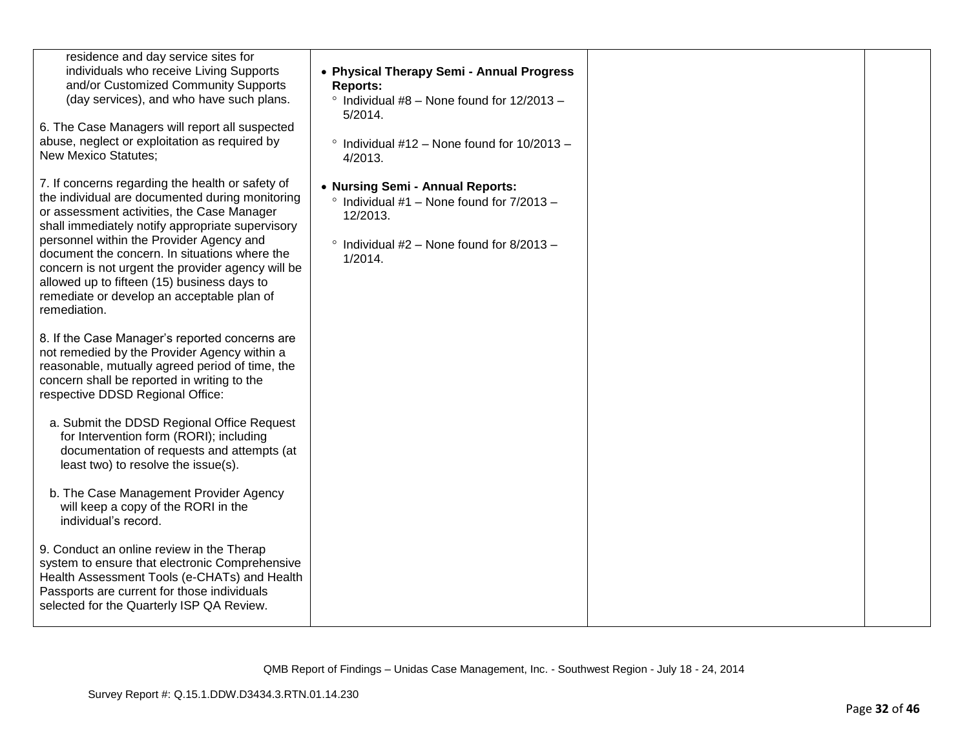| residence and day service sites for<br>individuals who receive Living Supports<br>and/or Customized Community Supports<br>(day services), and who have such plans.<br>6. The Case Managers will report all suspected<br>abuse, neglect or exploitation as required by<br><b>New Mexico Statutes;</b>                                                                                                                                                                 | • Physical Therapy Semi - Annual Progress<br><b>Reports:</b><br>$\degree$ Individual #8 - None found for 12/2013 -<br>5/2014.<br>$\degree$ Individual #12 - None found for 10/2013 -<br>4/2013. |  |
|----------------------------------------------------------------------------------------------------------------------------------------------------------------------------------------------------------------------------------------------------------------------------------------------------------------------------------------------------------------------------------------------------------------------------------------------------------------------|-------------------------------------------------------------------------------------------------------------------------------------------------------------------------------------------------|--|
| 7. If concerns regarding the health or safety of<br>the individual are documented during monitoring<br>or assessment activities, the Case Manager<br>shall immediately notify appropriate supervisory<br>personnel within the Provider Agency and<br>document the concern. In situations where the<br>concern is not urgent the provider agency will be<br>allowed up to fifteen (15) business days to<br>remediate or develop an acceptable plan of<br>remediation. | • Nursing Semi - Annual Reports:<br>$\degree$ Individual #1 – None found for 7/2013 –<br>12/2013.<br>$\degree$ Individual #2 – None found for 8/2013 –<br>1/2014.                               |  |
| 8. If the Case Manager's reported concerns are<br>not remedied by the Provider Agency within a<br>reasonable, mutually agreed period of time, the<br>concern shall be reported in writing to the<br>respective DDSD Regional Office:                                                                                                                                                                                                                                 |                                                                                                                                                                                                 |  |
| a. Submit the DDSD Regional Office Request<br>for Intervention form (RORI); including<br>documentation of requests and attempts (at<br>least two) to resolve the issue(s).                                                                                                                                                                                                                                                                                           |                                                                                                                                                                                                 |  |
| b. The Case Management Provider Agency<br>will keep a copy of the RORI in the<br>individual's record.                                                                                                                                                                                                                                                                                                                                                                |                                                                                                                                                                                                 |  |
| 9. Conduct an online review in the Therap<br>system to ensure that electronic Comprehensive<br>Health Assessment Tools (e-CHATs) and Health<br>Passports are current for those individuals<br>selected for the Quarterly ISP QA Review.                                                                                                                                                                                                                              |                                                                                                                                                                                                 |  |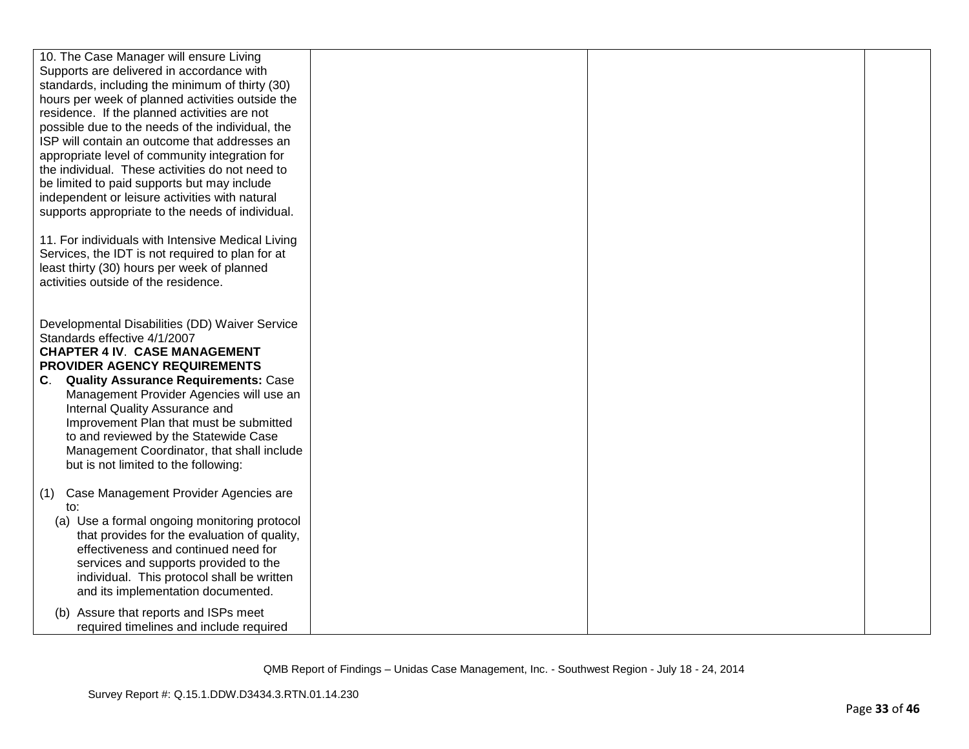| 10. The Case Manager will ensure Living<br>Supports are delivered in accordance with<br>standards, including the minimum of thirty (30)<br>hours per week of planned activities outside the<br>residence. If the planned activities are not<br>possible due to the needs of the individual, the<br>ISP will contain an outcome that addresses an<br>appropriate level of community integration for<br>the individual. These activities do not need to               |  |  |
|---------------------------------------------------------------------------------------------------------------------------------------------------------------------------------------------------------------------------------------------------------------------------------------------------------------------------------------------------------------------------------------------------------------------------------------------------------------------|--|--|
| be limited to paid supports but may include<br>independent or leisure activities with natural<br>supports appropriate to the needs of individual.                                                                                                                                                                                                                                                                                                                   |  |  |
| 11. For individuals with Intensive Medical Living<br>Services, the IDT is not required to plan for at<br>least thirty (30) hours per week of planned<br>activities outside of the residence.                                                                                                                                                                                                                                                                        |  |  |
| Developmental Disabilities (DD) Waiver Service<br>Standards effective 4/1/2007<br><b>CHAPTER 4 IV. CASE MANAGEMENT</b><br>PROVIDER AGENCY REQUIREMENTS<br><b>Quality Assurance Requirements: Case</b><br>C.<br>Management Provider Agencies will use an<br>Internal Quality Assurance and<br>Improvement Plan that must be submitted<br>to and reviewed by the Statewide Case<br>Management Coordinator, that shall include<br>but is not limited to the following: |  |  |
| Case Management Provider Agencies are<br>(1)<br>to:<br>(a) Use a formal ongoing monitoring protocol<br>that provides for the evaluation of quality,<br>effectiveness and continued need for<br>services and supports provided to the<br>individual. This protocol shall be written<br>and its implementation documented.                                                                                                                                            |  |  |
| Assure that reports and ISPs meet<br>required timelines and include required                                                                                                                                                                                                                                                                                                                                                                                        |  |  |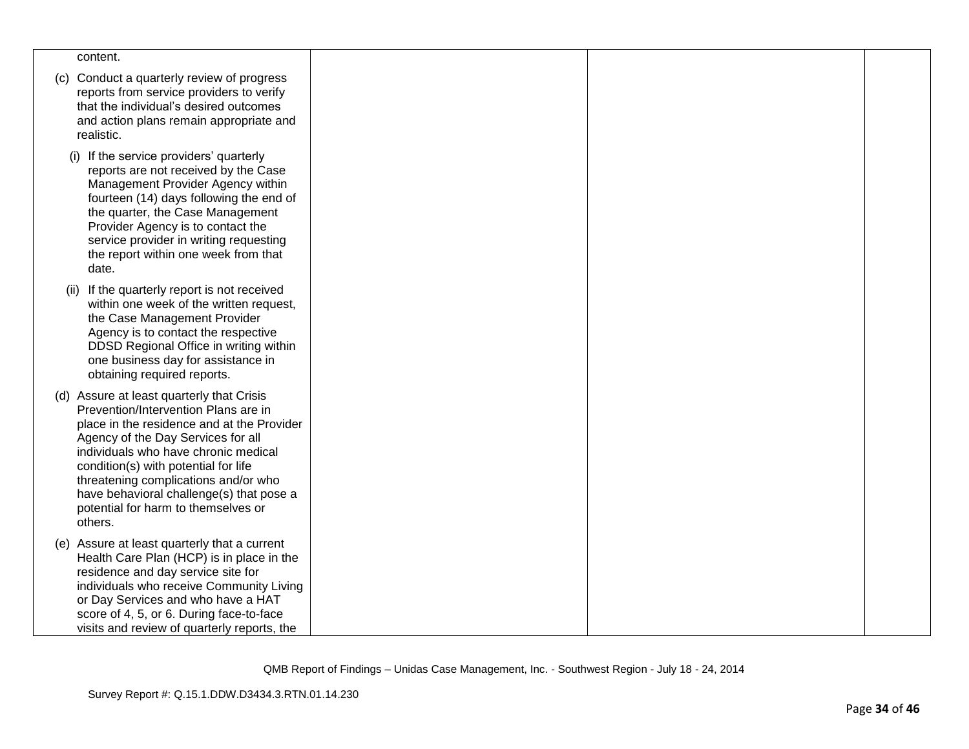| content.                                                                                                                                                                                                                                                                                                                                                                                    |  |  |
|---------------------------------------------------------------------------------------------------------------------------------------------------------------------------------------------------------------------------------------------------------------------------------------------------------------------------------------------------------------------------------------------|--|--|
| (c) Conduct a quarterly review of progress<br>reports from service providers to verify<br>that the individual's desired outcomes<br>and action plans remain appropriate and<br>realistic.                                                                                                                                                                                                   |  |  |
| (i) If the service providers' quarterly<br>reports are not received by the Case<br>Management Provider Agency within<br>fourteen (14) days following the end of<br>the quarter, the Case Management<br>Provider Agency is to contact the<br>service provider in writing requesting<br>the report within one week from that<br>date.                                                         |  |  |
| If the quarterly report is not received<br>(ii)<br>within one week of the written request,<br>the Case Management Provider<br>Agency is to contact the respective<br>DDSD Regional Office in writing within<br>one business day for assistance in<br>obtaining required reports.                                                                                                            |  |  |
| (d) Assure at least quarterly that Crisis<br>Prevention/Intervention Plans are in<br>place in the residence and at the Provider<br>Agency of the Day Services for all<br>individuals who have chronic medical<br>condition(s) with potential for life<br>threatening complications and/or who<br>have behavioral challenge(s) that pose a<br>potential for harm to themselves or<br>others. |  |  |
| (e) Assure at least quarterly that a current<br>Health Care Plan (HCP) is in place in the<br>residence and day service site for<br>individuals who receive Community Living<br>or Day Services and who have a HAT<br>score of 4, 5, or 6. During face-to-face<br>visits and review of quarterly reports, the                                                                                |  |  |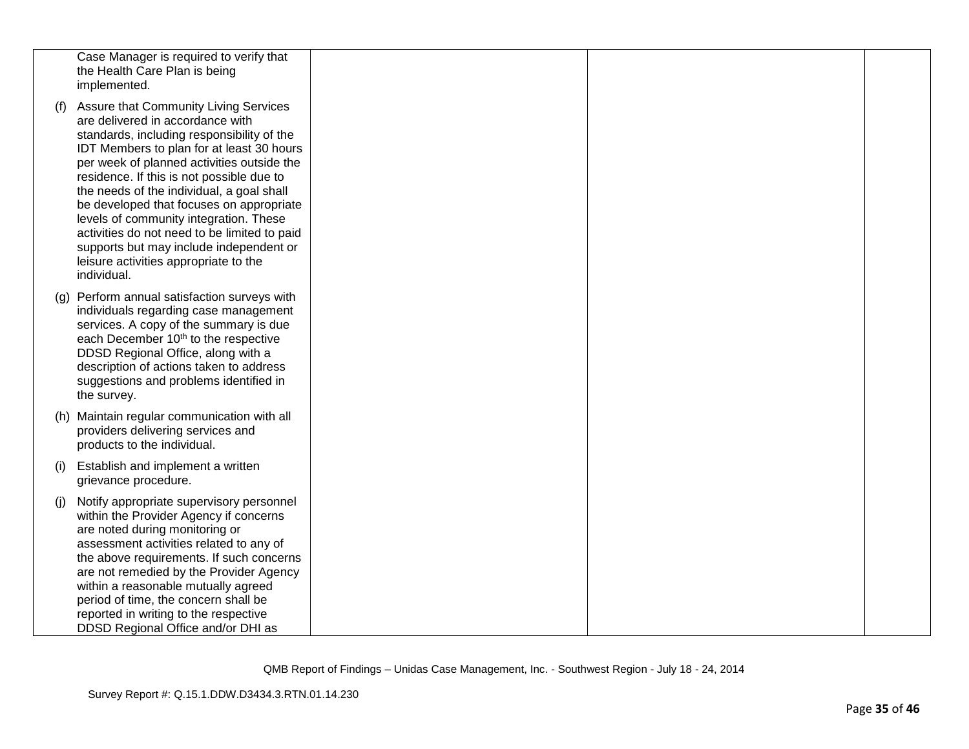|     | Case Manager is required to verify that<br>the Health Care Plan is being<br>implemented.                                                                                                                                                                                                                                                                                                                                                                                                                                                              |  |  |
|-----|-------------------------------------------------------------------------------------------------------------------------------------------------------------------------------------------------------------------------------------------------------------------------------------------------------------------------------------------------------------------------------------------------------------------------------------------------------------------------------------------------------------------------------------------------------|--|--|
| (1) | Assure that Community Living Services<br>are delivered in accordance with<br>standards, including responsibility of the<br>IDT Members to plan for at least 30 hours<br>per week of planned activities outside the<br>residence. If this is not possible due to<br>the needs of the individual, a goal shall<br>be developed that focuses on appropriate<br>levels of community integration. These<br>activities do not need to be limited to paid<br>supports but may include independent or<br>leisure activities appropriate to the<br>individual. |  |  |
|     | (g) Perform annual satisfaction surveys with<br>individuals regarding case management<br>services. A copy of the summary is due<br>each December 10 <sup>th</sup> to the respective<br>DDSD Regional Office, along with a<br>description of actions taken to address<br>suggestions and problems identified in<br>the survey.                                                                                                                                                                                                                         |  |  |
|     | (h) Maintain regular communication with all<br>providers delivering services and<br>products to the individual.                                                                                                                                                                                                                                                                                                                                                                                                                                       |  |  |
| (i) | Establish and implement a written<br>grievance procedure.                                                                                                                                                                                                                                                                                                                                                                                                                                                                                             |  |  |
| (i) | Notify appropriate supervisory personnel<br>within the Provider Agency if concerns<br>are noted during monitoring or<br>assessment activities related to any of<br>the above requirements. If such concerns<br>are not remedied by the Provider Agency<br>within a reasonable mutually agreed<br>period of time, the concern shall be<br>reported in writing to the respective<br>DDSD Regional Office and/or DHI as                                                                                                                                  |  |  |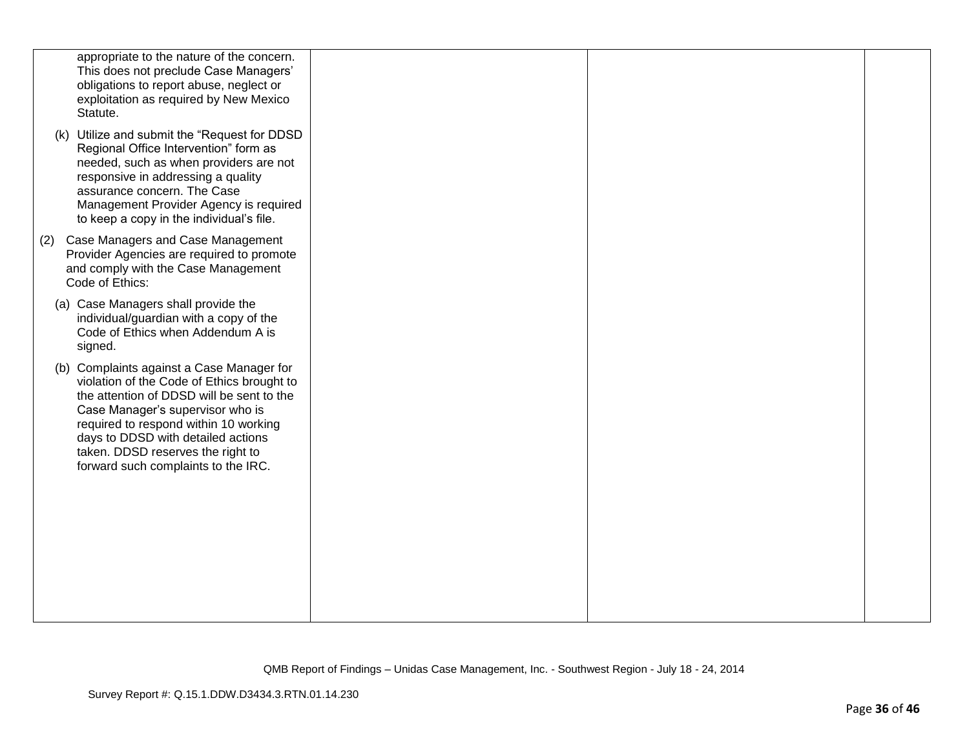| appropriate to the nature of the concern.<br>This does not preclude Case Managers'<br>obligations to report abuse, neglect or<br>exploitation as required by New Mexico<br>Statute.                                                                                                                                                 |  |  |
|-------------------------------------------------------------------------------------------------------------------------------------------------------------------------------------------------------------------------------------------------------------------------------------------------------------------------------------|--|--|
| (k) Utilize and submit the "Request for DDSD<br>Regional Office Intervention" form as<br>needed, such as when providers are not<br>responsive in addressing a quality<br>assurance concern. The Case<br>Management Provider Agency is required<br>to keep a copy in the individual's file.                                          |  |  |
| Case Managers and Case Management<br>(2)<br>Provider Agencies are required to promote<br>and comply with the Case Management<br>Code of Ethics:                                                                                                                                                                                     |  |  |
| (a) Case Managers shall provide the<br>individual/guardian with a copy of the<br>Code of Ethics when Addendum A is<br>signed.                                                                                                                                                                                                       |  |  |
| (b) Complaints against a Case Manager for<br>violation of the Code of Ethics brought to<br>the attention of DDSD will be sent to the<br>Case Manager's supervisor who is<br>required to respond within 10 working<br>days to DDSD with detailed actions<br>taken. DDSD reserves the right to<br>forward such complaints to the IRC. |  |  |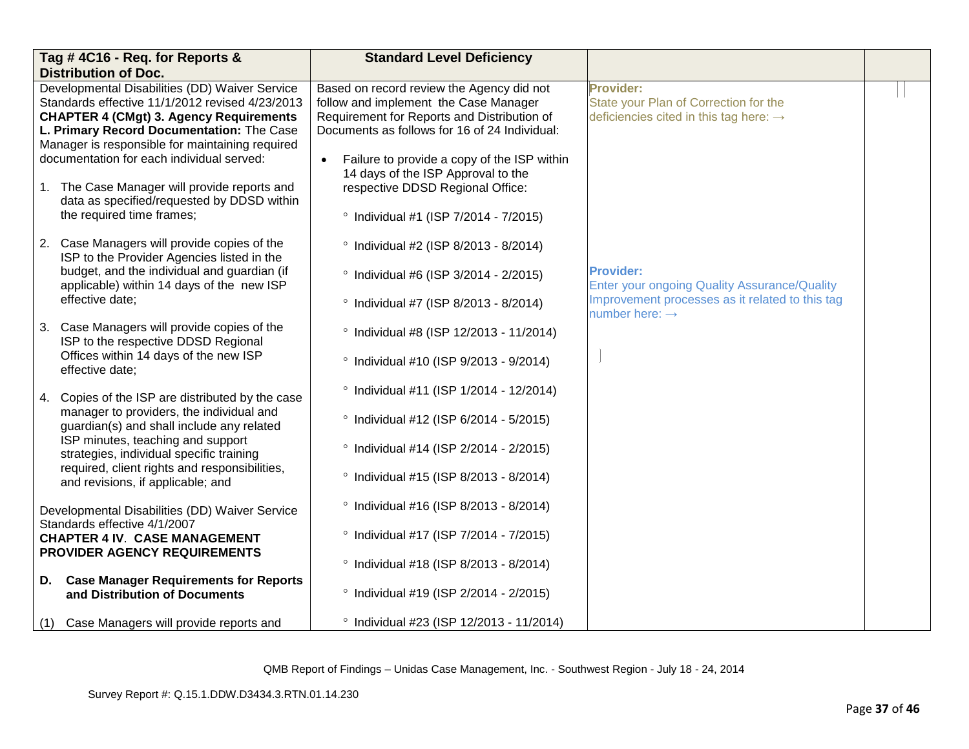|    | Tag #4C16 - Req. for Reports &                                                                    | <b>Standard Level Deficiency</b>                                                   |                                                                               |  |
|----|---------------------------------------------------------------------------------------------------|------------------------------------------------------------------------------------|-------------------------------------------------------------------------------|--|
|    | <b>Distribution of Doc.</b>                                                                       |                                                                                    |                                                                               |  |
|    | Developmental Disabilities (DD) Waiver Service<br>Standards effective 11/1/2012 revised 4/23/2013 | Based on record review the Agency did not<br>follow and implement the Case Manager | <b>Provider:</b><br>State your Plan of Correction for the                     |  |
|    | <b>CHAPTER 4 (CMgt) 3. Agency Requirements</b>                                                    | Requirement for Reports and Distribution of                                        | deficiencies cited in this tag here: $\rightarrow$                            |  |
|    | L. Primary Record Documentation: The Case                                                         | Documents as follows for 16 of 24 Individual:                                      |                                                                               |  |
|    | Manager is responsible for maintaining required                                                   |                                                                                    |                                                                               |  |
|    | documentation for each individual served:                                                         | Failure to provide a copy of the ISP within<br>$\bullet$                           |                                                                               |  |
|    |                                                                                                   | 14 days of the ISP Approval to the                                                 |                                                                               |  |
|    | 1. The Case Manager will provide reports and<br>data as specified/requested by DDSD within        | respective DDSD Regional Office:                                                   |                                                                               |  |
|    | the required time frames;                                                                         | ° Individual #1 (ISP 7/2014 - 7/2015)                                              |                                                                               |  |
|    | 2. Case Managers will provide copies of the<br>ISP to the Provider Agencies listed in the         | ° Individual #2 (ISP 8/2013 - 8/2014)                                              |                                                                               |  |
|    | budget, and the individual and guardian (if<br>applicable) within 14 days of the new ISP          | ° Individual #6 (ISP 3/2014 - 2/2015)                                              | <b>Provider:</b><br>Enter your ongoing Quality Assurance/Quality              |  |
|    | effective date;                                                                                   | <sup>o</sup> Individual #7 (ISP 8/2013 - 8/2014)                                   | Improvement processes as it related to this tag<br>number here: $\rightarrow$ |  |
|    | 3. Case Managers will provide copies of the<br>ISP to the respective DDSD Regional                | <sup>o</sup> Individual #8 (ISP 12/2013 - 11/2014)                                 |                                                                               |  |
|    | Offices within 14 days of the new ISP<br>effective date;                                          | ° Individual #10 (ISP 9/2013 - 9/2014)                                             |                                                                               |  |
|    | 4. Copies of the ISP are distributed by the case                                                  | ° Individual #11 (ISP 1/2014 - 12/2014)                                            |                                                                               |  |
|    | manager to providers, the individual and<br>guardian(s) and shall include any related             | ° Individual #12 (ISP 6/2014 - 5/2015)                                             |                                                                               |  |
|    | ISP minutes, teaching and support<br>strategies, individual specific training                     | ° Individual #14 (ISP 2/2014 - 2/2015)                                             |                                                                               |  |
|    | required, client rights and responsibilities,<br>and revisions, if applicable; and                | ° Individual #15 (ISP 8/2013 - 8/2014)                                             |                                                                               |  |
|    | Developmental Disabilities (DD) Waiver Service                                                    | ° Individual #16 (ISP 8/2013 - 8/2014)                                             |                                                                               |  |
|    | Standards effective 4/1/2007<br><b>CHAPTER 4 IV. CASE MANAGEMENT</b>                              | ° Individual #17 (ISP 7/2014 - 7/2015)                                             |                                                                               |  |
|    | PROVIDER AGENCY REQUIREMENTS                                                                      | ° Individual #18 (ISP 8/2013 - 8/2014)                                             |                                                                               |  |
| D. | <b>Case Manager Requirements for Reports</b><br>and Distribution of Documents                     | ° Individual #19 (ISP 2/2014 - 2/2015)                                             |                                                                               |  |
|    | (1) Case Managers will provide reports and                                                        | ° Individual #23 (ISP 12/2013 - 11/2014)                                           |                                                                               |  |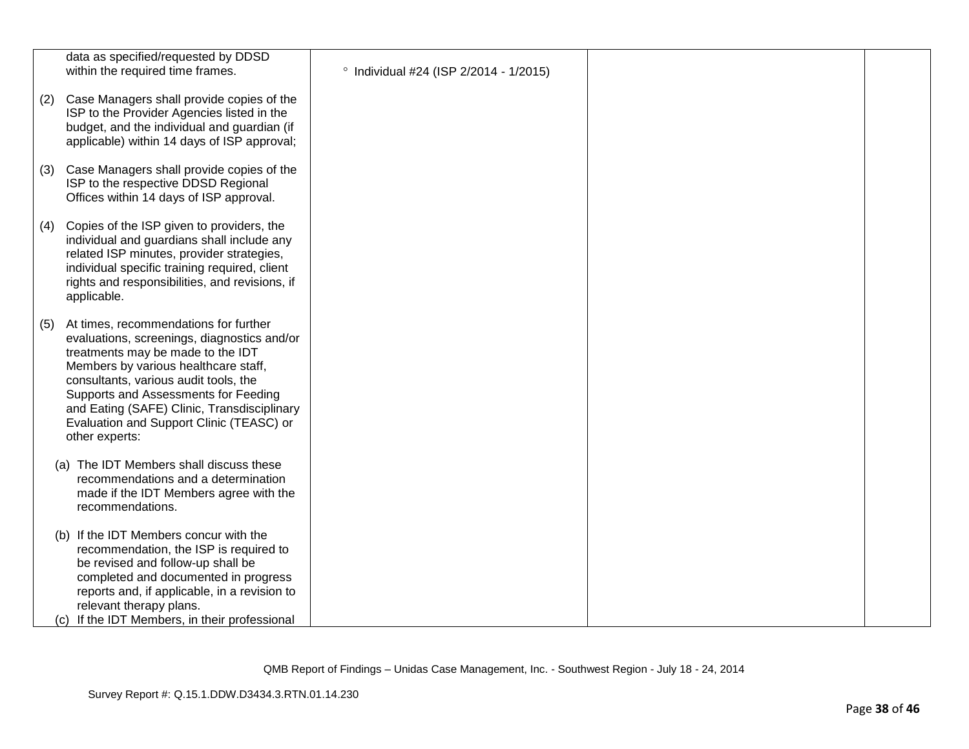|     | data as specified/requested by DDSD                                                                                                                                                                                                                                                                                                                             |                                        |  |
|-----|-----------------------------------------------------------------------------------------------------------------------------------------------------------------------------------------------------------------------------------------------------------------------------------------------------------------------------------------------------------------|----------------------------------------|--|
|     | within the required time frames.                                                                                                                                                                                                                                                                                                                                | ° Individual #24 (ISP 2/2014 - 1/2015) |  |
| (2) | Case Managers shall provide copies of the<br>ISP to the Provider Agencies listed in the<br>budget, and the individual and guardian (if<br>applicable) within 14 days of ISP approval;                                                                                                                                                                           |                                        |  |
| (3) | Case Managers shall provide copies of the<br>ISP to the respective DDSD Regional<br>Offices within 14 days of ISP approval.                                                                                                                                                                                                                                     |                                        |  |
| (4) | Copies of the ISP given to providers, the<br>individual and guardians shall include any<br>related ISP minutes, provider strategies,<br>individual specific training required, client<br>rights and responsibilities, and revisions, if<br>applicable.                                                                                                          |                                        |  |
| (5) | At times, recommendations for further<br>evaluations, screenings, diagnostics and/or<br>treatments may be made to the IDT<br>Members by various healthcare staff,<br>consultants, various audit tools, the<br>Supports and Assessments for Feeding<br>and Eating (SAFE) Clinic, Transdisciplinary<br>Evaluation and Support Clinic (TEASC) or<br>other experts: |                                        |  |
|     | (a) The IDT Members shall discuss these<br>recommendations and a determination<br>made if the IDT Members agree with the<br>recommendations.                                                                                                                                                                                                                    |                                        |  |
|     | (b) If the IDT Members concur with the<br>recommendation, the ISP is required to<br>be revised and follow-up shall be<br>completed and documented in progress<br>reports and, if applicable, in a revision to<br>relevant therapy plans.<br>(c) If the IDT Members, in their professional                                                                       |                                        |  |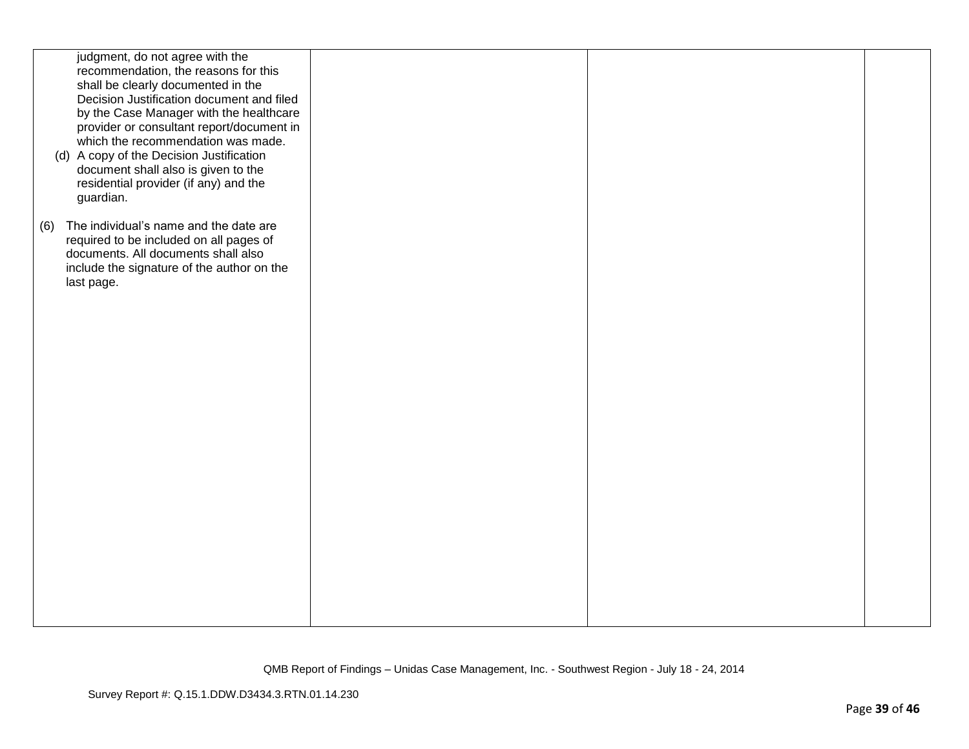| judgment, do not agree with the<br>recommendation, the reasons for this<br>shall be clearly documented in the<br>Decision Justification document and filed<br>by the Case Manager with the healthcare<br>provider or consultant report/document in<br>which the recommendation was made.<br>(d) A copy of the Decision Justification<br>document shall also is given to the<br>residential provider (if any) and the<br>guardian. |  |  |
|-----------------------------------------------------------------------------------------------------------------------------------------------------------------------------------------------------------------------------------------------------------------------------------------------------------------------------------------------------------------------------------------------------------------------------------|--|--|
| The individual's name and the date are<br>(6)<br>required to be included on all pages of<br>documents. All documents shall also<br>include the signature of the author on the<br>last page.                                                                                                                                                                                                                                       |  |  |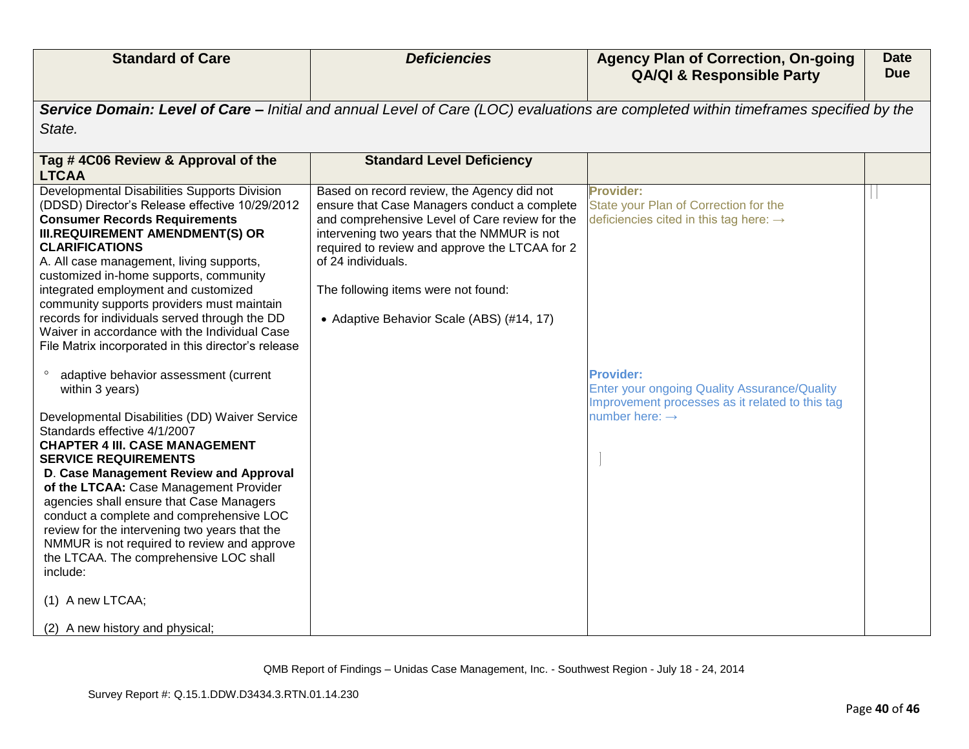| <b>Standard of Care</b>                                                                                                                                                                                                                                                                                                                                                                                                                                                                                                                                                                                                                                                                                                                                                                                                                                                                                                                                                                                                                                                                                                    | <b>Deficiencies</b>                                                                                                                                                                                                                                                                                                                                     | <b>Agency Plan of Correction, On-going</b><br><b>QA/QI &amp; Responsible Party</b>                                                                                                                                                                                   | <b>Date</b><br><b>Due</b> |
|----------------------------------------------------------------------------------------------------------------------------------------------------------------------------------------------------------------------------------------------------------------------------------------------------------------------------------------------------------------------------------------------------------------------------------------------------------------------------------------------------------------------------------------------------------------------------------------------------------------------------------------------------------------------------------------------------------------------------------------------------------------------------------------------------------------------------------------------------------------------------------------------------------------------------------------------------------------------------------------------------------------------------------------------------------------------------------------------------------------------------|---------------------------------------------------------------------------------------------------------------------------------------------------------------------------------------------------------------------------------------------------------------------------------------------------------------------------------------------------------|----------------------------------------------------------------------------------------------------------------------------------------------------------------------------------------------------------------------------------------------------------------------|---------------------------|
| State.                                                                                                                                                                                                                                                                                                                                                                                                                                                                                                                                                                                                                                                                                                                                                                                                                                                                                                                                                                                                                                                                                                                     |                                                                                                                                                                                                                                                                                                                                                         | Service Domain: Level of Care - Initial and annual Level of Care (LOC) evaluations are completed within timeframes specified by the                                                                                                                                  |                           |
| Tag #4C06 Review & Approval of the<br><b>LTCAA</b>                                                                                                                                                                                                                                                                                                                                                                                                                                                                                                                                                                                                                                                                                                                                                                                                                                                                                                                                                                                                                                                                         | <b>Standard Level Deficiency</b>                                                                                                                                                                                                                                                                                                                        |                                                                                                                                                                                                                                                                      |                           |
| Developmental Disabilities Supports Division<br>(DDSD) Director's Release effective 10/29/2012<br><b>Consumer Records Requirements</b><br><b>III.REQUIREMENT AMENDMENT(S) OR</b><br><b>CLARIFICATIONS</b><br>A. All case management, living supports,<br>customized in-home supports, community<br>integrated employment and customized<br>community supports providers must maintain<br>records for individuals served through the DD<br>Waiver in accordance with the Individual Case<br>File Matrix incorporated in this director's release<br>adaptive behavior assessment (current<br>within 3 years)<br>Developmental Disabilities (DD) Waiver Service<br>Standards effective 4/1/2007<br><b>CHAPTER 4 III. CASE MANAGEMENT</b><br><b>SERVICE REQUIREMENTS</b><br>D. Case Management Review and Approval<br>of the LTCAA: Case Management Provider<br>agencies shall ensure that Case Managers<br>conduct a complete and comprehensive LOC<br>review for the intervening two years that the<br>NMMUR is not required to review and approve<br>the LTCAA. The comprehensive LOC shall<br>include:<br>(1) A new LTCAA; | Based on record review, the Agency did not<br>ensure that Case Managers conduct a complete<br>and comprehensive Level of Care review for the<br>intervening two years that the NMMUR is not<br>required to review and approve the LTCAA for 2<br>of 24 individuals.<br>The following items were not found:<br>• Adaptive Behavior Scale (ABS) (#14, 17) | <b>Provider:</b><br>State your Plan of Correction for the<br>deficiencies cited in this tag here: $\rightarrow$<br><b>Provider:</b><br>Enter your ongoing Quality Assurance/Quality<br>Improvement processes as it related to this tag<br>number here: $\rightarrow$ |                           |
| (2) A new history and physical;                                                                                                                                                                                                                                                                                                                                                                                                                                                                                                                                                                                                                                                                                                                                                                                                                                                                                                                                                                                                                                                                                            |                                                                                                                                                                                                                                                                                                                                                         |                                                                                                                                                                                                                                                                      |                           |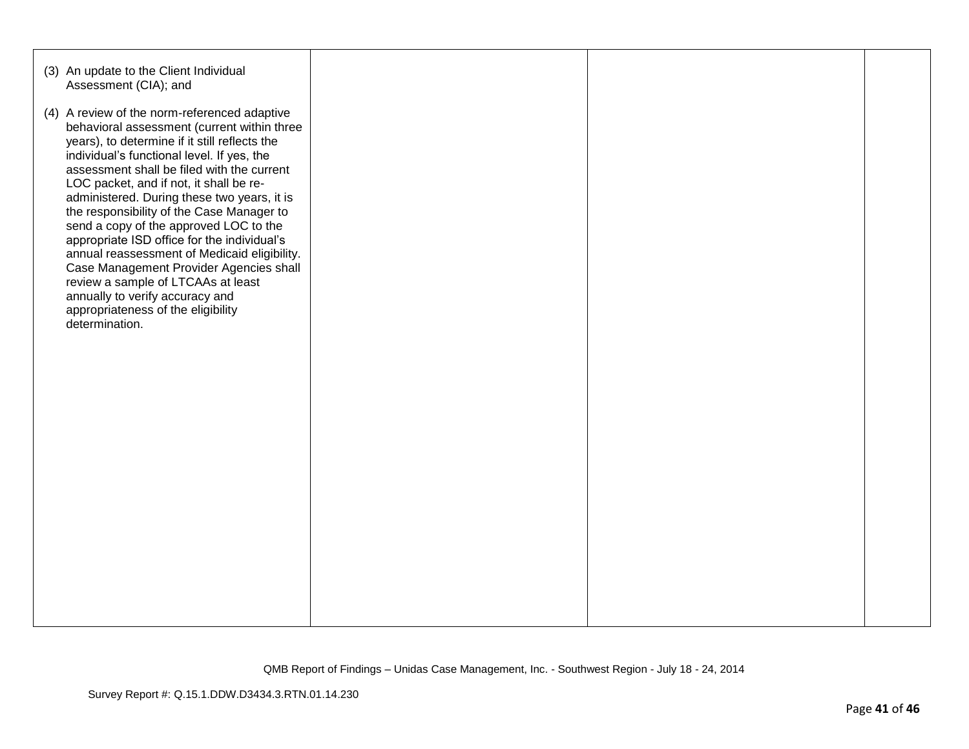| (3) An update to the Client Individual<br>Assessment (CIA); and                                                                                                                                                                                                                                                                                                                                                                                                                                                                                                                                                                                                                                      |  |  |
|------------------------------------------------------------------------------------------------------------------------------------------------------------------------------------------------------------------------------------------------------------------------------------------------------------------------------------------------------------------------------------------------------------------------------------------------------------------------------------------------------------------------------------------------------------------------------------------------------------------------------------------------------------------------------------------------------|--|--|
| (4) A review of the norm-referenced adaptive<br>behavioral assessment (current within three<br>years), to determine if it still reflects the<br>individual's functional level. If yes, the<br>assessment shall be filed with the current<br>LOC packet, and if not, it shall be re-<br>administered. During these two years, it is<br>the responsibility of the Case Manager to<br>send a copy of the approved LOC to the<br>appropriate ISD office for the individual's<br>annual reassessment of Medicaid eligibility.<br>Case Management Provider Agencies shall<br>review a sample of LTCAAs at least<br>annually to verify accuracy and<br>appropriateness of the eligibility<br>determination. |  |  |
|                                                                                                                                                                                                                                                                                                                                                                                                                                                                                                                                                                                                                                                                                                      |  |  |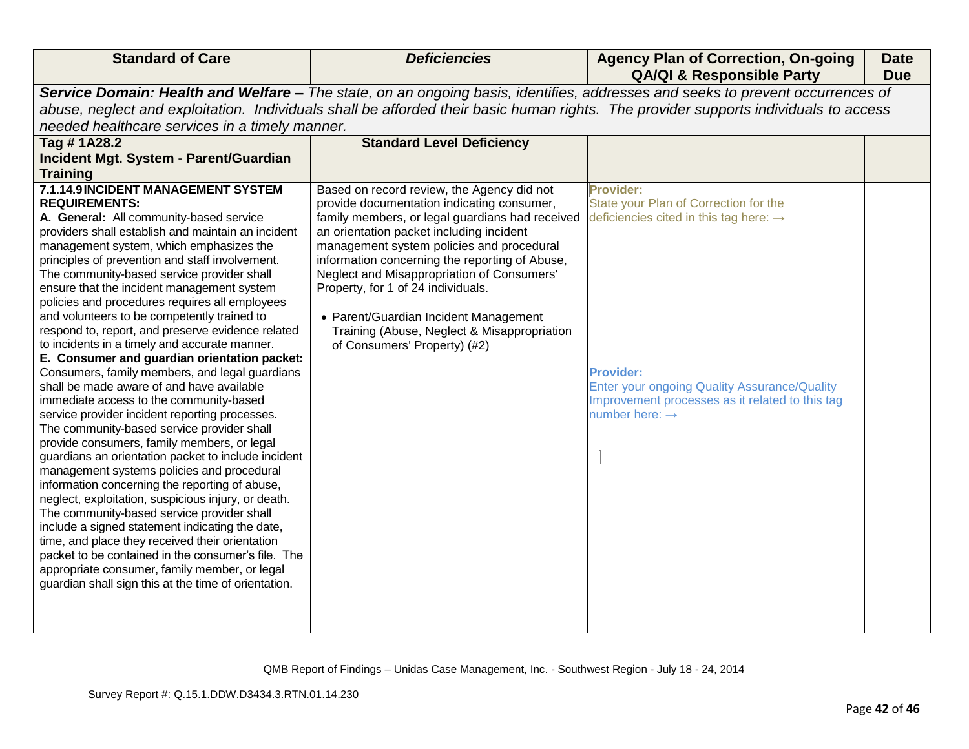| <b>Standard of Care</b>                                                                                                                                                                                                                                                                                                                                                                                                                                                                                                                                                                                                                                                                                                                                                                                                                                                                                                                                                                                                                                                                                                                                                                                                                                                                                                                                                                                                                | <b>Deficiencies</b>                                                                                                                                                                                                                                                                                                                                                                                                                                                                                | <b>Agency Plan of Correction, On-going</b><br><b>QA/QI &amp; Responsible Party</b>                                                                                                                                                                                   | <b>Date</b><br><b>Due</b> |  |
|----------------------------------------------------------------------------------------------------------------------------------------------------------------------------------------------------------------------------------------------------------------------------------------------------------------------------------------------------------------------------------------------------------------------------------------------------------------------------------------------------------------------------------------------------------------------------------------------------------------------------------------------------------------------------------------------------------------------------------------------------------------------------------------------------------------------------------------------------------------------------------------------------------------------------------------------------------------------------------------------------------------------------------------------------------------------------------------------------------------------------------------------------------------------------------------------------------------------------------------------------------------------------------------------------------------------------------------------------------------------------------------------------------------------------------------|----------------------------------------------------------------------------------------------------------------------------------------------------------------------------------------------------------------------------------------------------------------------------------------------------------------------------------------------------------------------------------------------------------------------------------------------------------------------------------------------------|----------------------------------------------------------------------------------------------------------------------------------------------------------------------------------------------------------------------------------------------------------------------|---------------------------|--|
| Service Domain: Health and Welfare - The state, on an ongoing basis, identifies, addresses and seeks to prevent occurrences of                                                                                                                                                                                                                                                                                                                                                                                                                                                                                                                                                                                                                                                                                                                                                                                                                                                                                                                                                                                                                                                                                                                                                                                                                                                                                                         |                                                                                                                                                                                                                                                                                                                                                                                                                                                                                                    |                                                                                                                                                                                                                                                                      |                           |  |
| abuse, neglect and exploitation. Individuals shall be afforded their basic human rights. The provider supports individuals to access                                                                                                                                                                                                                                                                                                                                                                                                                                                                                                                                                                                                                                                                                                                                                                                                                                                                                                                                                                                                                                                                                                                                                                                                                                                                                                   |                                                                                                                                                                                                                                                                                                                                                                                                                                                                                                    |                                                                                                                                                                                                                                                                      |                           |  |
| needed healthcare services in a timely manner.                                                                                                                                                                                                                                                                                                                                                                                                                                                                                                                                                                                                                                                                                                                                                                                                                                                                                                                                                                                                                                                                                                                                                                                                                                                                                                                                                                                         |                                                                                                                                                                                                                                                                                                                                                                                                                                                                                                    |                                                                                                                                                                                                                                                                      |                           |  |
| Tag #1A28.2                                                                                                                                                                                                                                                                                                                                                                                                                                                                                                                                                                                                                                                                                                                                                                                                                                                                                                                                                                                                                                                                                                                                                                                                                                                                                                                                                                                                                            | <b>Standard Level Deficiency</b>                                                                                                                                                                                                                                                                                                                                                                                                                                                                   |                                                                                                                                                                                                                                                                      |                           |  |
| Incident Mgt. System - Parent/Guardian                                                                                                                                                                                                                                                                                                                                                                                                                                                                                                                                                                                                                                                                                                                                                                                                                                                                                                                                                                                                                                                                                                                                                                                                                                                                                                                                                                                                 |                                                                                                                                                                                                                                                                                                                                                                                                                                                                                                    |                                                                                                                                                                                                                                                                      |                           |  |
| <b>Training</b>                                                                                                                                                                                                                                                                                                                                                                                                                                                                                                                                                                                                                                                                                                                                                                                                                                                                                                                                                                                                                                                                                                                                                                                                                                                                                                                                                                                                                        |                                                                                                                                                                                                                                                                                                                                                                                                                                                                                                    |                                                                                                                                                                                                                                                                      |                           |  |
| 7.1.14.9INCIDENT MANAGEMENT SYSTEM<br><b>REQUIREMENTS:</b><br>A. General: All community-based service<br>providers shall establish and maintain an incident<br>management system, which emphasizes the<br>principles of prevention and staff involvement.<br>The community-based service provider shall<br>ensure that the incident management system<br>policies and procedures requires all employees<br>and volunteers to be competently trained to<br>respond to, report, and preserve evidence related<br>to incidents in a timely and accurate manner.<br>E. Consumer and guardian orientation packet:<br>Consumers, family members, and legal guardians<br>shall be made aware of and have available<br>immediate access to the community-based<br>service provider incident reporting processes.<br>The community-based service provider shall<br>provide consumers, family members, or legal<br>guardians an orientation packet to include incident<br>management systems policies and procedural<br>information concerning the reporting of abuse,<br>neglect, exploitation, suspicious injury, or death.<br>The community-based service provider shall<br>include a signed statement indicating the date,<br>time, and place they received their orientation<br>packet to be contained in the consumer's file. The<br>appropriate consumer, family member, or legal<br>guardian shall sign this at the time of orientation. | Based on record review, the Agency did not<br>provide documentation indicating consumer,<br>family members, or legal guardians had received<br>an orientation packet including incident<br>management system policies and procedural<br>information concerning the reporting of Abuse,<br>Neglect and Misappropriation of Consumers'<br>Property, for 1 of 24 individuals.<br>• Parent/Guardian Incident Management<br>Training (Abuse, Neglect & Misappropriation<br>of Consumers' Property) (#2) | Provider:<br>State your Plan of Correction for the<br>deficiencies cited in this tag here: $\rightarrow$<br><b>Provider:</b><br><b>Enter your ongoing Quality Assurance/Quality</b><br>Improvement processes as it related to this tag<br>number here: $\rightarrow$ |                           |  |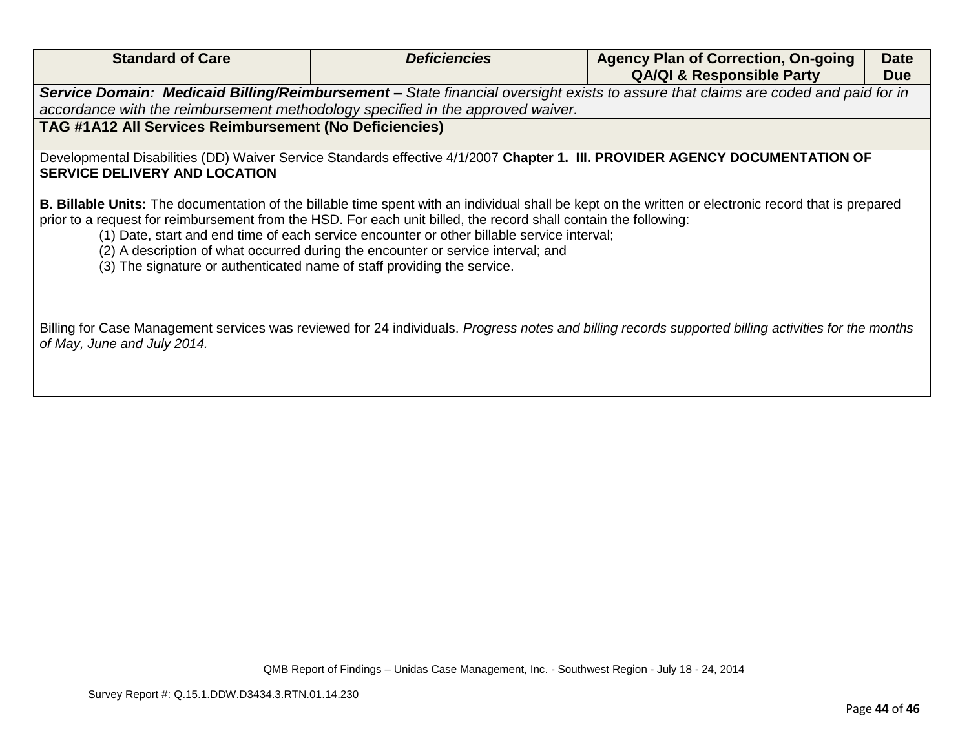| <b>Standard of Care</b>                                                         | <b>Deficiencies</b>                                                                                                                                                                                                                                                                                | <b>Agency Plan of Correction, On-going</b><br><b>QA/QI &amp; Responsible Party</b>                                                                    | <b>Date</b><br><b>Due</b> |
|---------------------------------------------------------------------------------|----------------------------------------------------------------------------------------------------------------------------------------------------------------------------------------------------------------------------------------------------------------------------------------------------|-------------------------------------------------------------------------------------------------------------------------------------------------------|---------------------------|
|                                                                                 |                                                                                                                                                                                                                                                                                                    | Service Domain: Medicaid Billing/Reimbursement – State financial oversight exists to assure that claims are coded and paid for in                     |                           |
| accordance with the reimbursement methodology specified in the approved waiver. |                                                                                                                                                                                                                                                                                                    |                                                                                                                                                       |                           |
| TAG #1A12 All Services Reimbursement (No Deficiencies)                          |                                                                                                                                                                                                                                                                                                    |                                                                                                                                                       |                           |
| <b>SERVICE DELIVERY AND LOCATION</b>                                            |                                                                                                                                                                                                                                                                                                    | Developmental Disabilities (DD) Waiver Service Standards effective 4/1/2007 Chapter 1. III. PROVIDER AGENCY DOCUMENTATION OF                          |                           |
| (3) The signature or authenticated name of staff providing the service.         | prior to a request for reimbursement from the HSD. For each unit billed, the record shall contain the following:<br>(1) Date, start and end time of each service encounter or other billable service interval;<br>(2) A description of what occurred during the encounter or service interval; and | B. Billable Units: The documentation of the billable time spent with an individual shall be kept on the written or electronic record that is prepared |                           |
| of May, June and July 2014.                                                     |                                                                                                                                                                                                                                                                                                    | Billing for Case Management services was reviewed for 24 individuals. Progress notes and billing records supported billing activities for the months  |                           |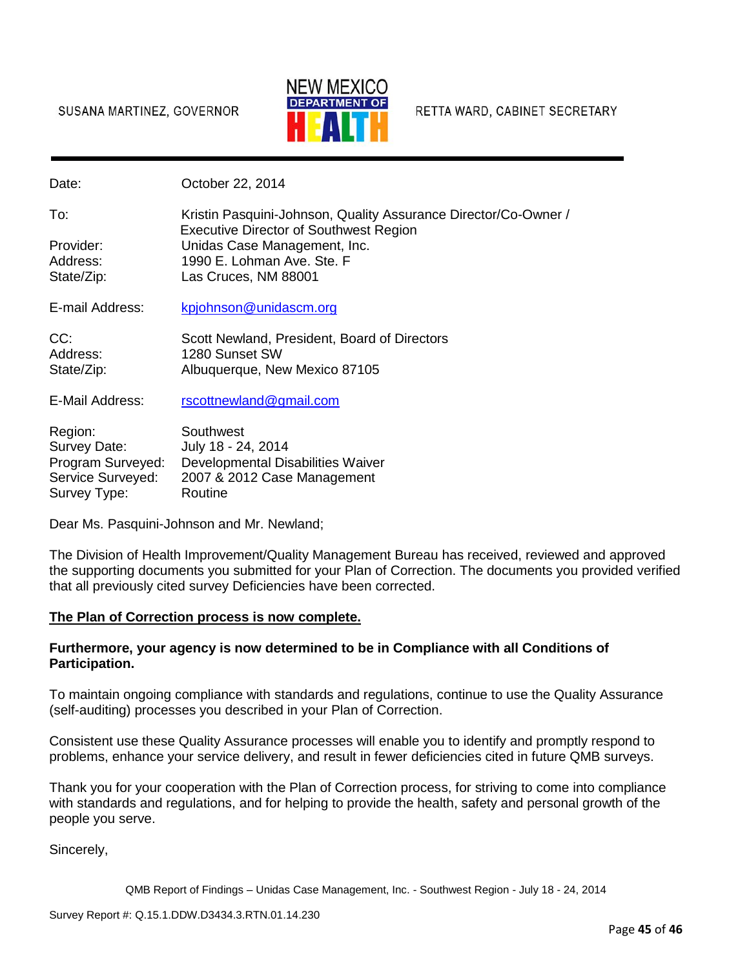

RETTA WARD, CABINET SECRETARY

Date: **October 22, 2014** 

To: Kristin Pasquini-Johnson, Quality Assurance Director/Co-Owner / Executive Director of Southwest Region Provider: Unidas Case Management, Inc. Address: 1990 E. Lohman Ave. Ste. F State/Zip: Las Cruces, NM 88001 E-mail Address: [kpjohnson@unidascm.org](mailto:kpjohnson@unidascm.org)

CC: Scott Newland, President, Board of Directors Address: 1280 Sunset SW State/Zip: Albuquerque, New Mexico 87105

E-Mail Address: [rscottnewland@gmail.com](mailto:rscottnewland@gmail.com)

Region: Southwest Survey Date: July 18 - 24, 2014 Program Surveyed: Developmental Disabilities Waiver Service Surveyed: 2007 & 2012 Case Management Survey Type: Routine

Dear Ms. Pasquini-Johnson and Mr. Newland;

The Division of Health Improvement/Quality Management Bureau has received, reviewed and approved the supporting documents you submitted for your Plan of Correction. The documents you provided verified that all previously cited survey Deficiencies have been corrected.

## **The Plan of Correction process is now complete.**

#### **Furthermore, your agency is now determined to be in Compliance with all Conditions of Participation.**

To maintain ongoing compliance with standards and regulations, continue to use the Quality Assurance (self-auditing) processes you described in your Plan of Correction.

Consistent use these Quality Assurance processes will enable you to identify and promptly respond to problems, enhance your service delivery, and result in fewer deficiencies cited in future QMB surveys.

Thank you for your cooperation with the Plan of Correction process, for striving to come into compliance with standards and regulations, and for helping to provide the health, safety and personal growth of the people you serve.

Sincerely,